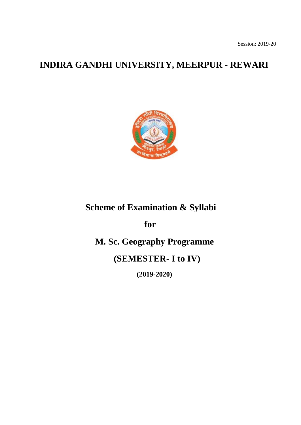Session: 2019-20

# **INDIRA GANDHI UNIVERSITY, MEERPUR - REWARI**



# **Scheme of Examination & Syllabi**

**for**

 **M. Sc. Geography Programme**

 **(SEMESTER- I to IV)**

 **(2019-2020)**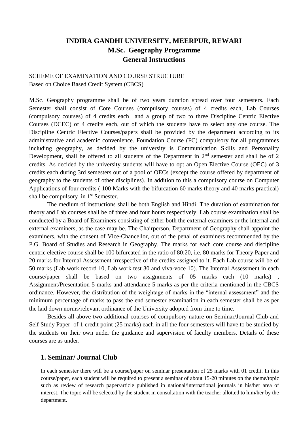# **INDIRA GANDHI UNIVERSITY, MEERPUR, REWARI M.Sc. Geography Programme General Instructions**

# SCHEME OF EXAMINATION AND COURSE STRUCTURE Based on Choice Based Credit System (CBCS)

M.Sc. Geography programme shall be of two years duration spread over four semesters. Each Semester shall consist of Core Courses (compulsory courses) of 4 credits each, Lab Courses (compulsory courses) of 4 credits each and a group of two to three Discipline Centric Elective Courses (DCEC) of 4 credits each, out of which the students have to select any one course. The Discipline Centric Elective Courses/papers shall be provided by the department according to its administrative and academic convenience. Foundation Course (FC) compulsory for all programmes including geography, as decided by the university is Communication Skills and Personality Development, shall be offered to all students of the Department in  $2<sup>nd</sup>$  semester and shall be of 2 credits. As decided by the university students will have to opt an Open Elective Course (OEC) of 3 credits each during 3rd semesters out of a pool of OECs (except the course offered by department of geography to the students of other disciplines). In addition to this a compulsory course on Computer Applications of four credits ( 100 Marks with the bifurcation 60 marks theory and 40 marks practical) shall be compulsory in  $1<sup>st</sup>$  Semester.

The medium of instructions shall be both English and Hindi. The duration of examination for theory and Lab courses shall be of three and four hours respectively. Lab course examination shall be conducted by a Board of Examiners consisting of either both the external examiners or the internal and external examiners, as the case may be. The Chairperson, Department of Geography shall appoint the examiners, with the consent of Vice-Chancellor, out of the penal of examiners recommended by the P.G. Board of Studies and Research in Geography. The marks for each core course and discipline centric elective course shall be 100 bifurcated in the ratio of 80:20, i.e. 80 marks for Theory Paper and 20 marks for Internal Assessment irrespective of the credits assigned to it. Each Lab course will be of 50 marks (Lab work record 10, Lab work test 30 and viva-voce 10). The Internal Assessment in each course/paper shall be based on two assignments of 05 marks each (10 marks) , Assignment/Presentation 5 marks and attendance 5 marks as per the criteria mentioned in the CBCS ordinance. However, the distribution of the weightage of marks in the "internal assessment" and the minimum percentage of marks to pass the end semester examination in each semester shall be as per the laid down norms/relevant ordinance of the University adopted from time to time.

Besides all above two additional courses of compulsory nature on Seminar/Journal Club and Self Study Paper of 1 credit point (25 marks) each in all the four semesters will have to be studied by the students on their own under the guidance and supervision of faculty members. Details of these courses are as under.

# **1. Seminar/ Journal Club**

In each semester there will be a course/paper on seminar presentation of 25 marks with 01 credit. In this course/paper, each student will be required to present a seminar of about 15-20 minutes on the theme/topic such as review of research paper/article published in national/international journals in his/her area of interest. The topic will be selected by the student in consultation with the teacher allotted to him/her by the department.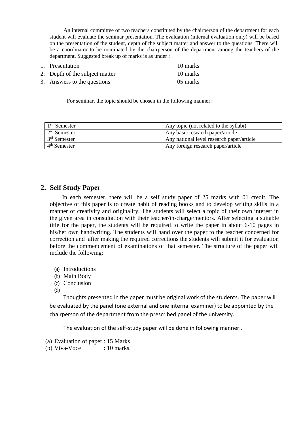An internal committee of two teachers constituted by the chairperson of the department for each student will evaluate the seminar presentation. The evaluation (internal evaluation only) will be based on the presentation of the student, depth of the subject matter and answer to the questions. There will be a coordinator to be nominated by the chairperson of the department among the teachers of the department. Suggested break up of marks is as under :

| 1. Presentation                | 10 marks |
|--------------------------------|----------|
| 2. Depth of the subject matter | 10 marks |
| 3. Answers to the questions    | 05 marks |

For seminar, the topic should be chosen in the following manner:

| $1st$ Semester | Any topic (not related to the syllabi)    |
|----------------|-------------------------------------------|
| $2nd$ Semester | Any basic research paper/article          |
| $3rd$ Semester | Any national level research paper/article |
| $4th$ Semester | Any foreign research paper/article        |

# **2. Self Study Paper**

In each semester, there will be a self study paper of 25 marks with 01 credit. The objective of this paper is to create habit of reading books and to develop writing skills in a manner of creativity and originality. The students will select a topic of their own interest in the given area in consultation with their teacher/in-charge/mentors. After selecting a suitable title for the paper, the students will be required to write the paper in about 6-10 pages in his/her own handwriting. The students will hand over the paper to the teacher concerned for correction and after making the required corrections the students will submit it for evaluation before the commencement of examinations of that semester. The structure of the paper will include the following:

- (a) Introductions
- (b) Main Body
- (c) Conclusion
- (d)

 Thoughts presented in the paper must be original work of the students. The paper will be evaluated by the panel (one external and one internal examiner) to be appointed by the chairperson of the department from the prescribed panel of the university.

The evaluation of the self-study paper will be done in following manner:.

- (a) Evaluation of paper : 15 Marks
- (b) Viva-Voce  $: 10$  marks.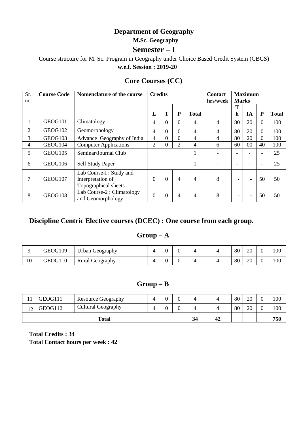# **Department of Geography**

 **M.Sc. Geography**

# **Semester – I**

Course structure for M. Sc. Program in Geography under Choice Based Credit System (CBCS) **w.e.f. Session : 2019-20**

# **Core Courses (CC)**

| Sr. | <b>Course Code</b> | Nomenclature of the course                                           | <b>Credits</b> |          |                |                          | <b>Contact</b> | <b>Maximum</b>           |                          |                |              |
|-----|--------------------|----------------------------------------------------------------------|----------------|----------|----------------|--------------------------|----------------|--------------------------|--------------------------|----------------|--------------|
| no. |                    |                                                                      |                |          |                |                          | hrs/week       | <b>Marks</b>             |                          |                |              |
|     |                    |                                                                      |                |          |                |                          |                | T                        |                          |                |              |
|     |                    |                                                                      | L              | T        | P              | <b>Total</b>             |                | h                        | IA                       | P              | <b>Total</b> |
|     | GEOG101            | Climatology                                                          | 4              | $\Omega$ | $\overline{0}$ | 4                        | 4              | 80                       | 20                       | $\overline{0}$ | 100          |
| 2   | GEOG102            | Geomorphology                                                        | 4              | $\Omega$ | $\overline{0}$ | 4                        | 4              | 80                       | 20                       | $\Omega$       | 100          |
| 3   | GEOG103            | Advance Geography of India                                           | 4              | $\Omega$ | $\Omega$       | 4                        | 4              | 80                       | 20                       | $\Omega$       | 100          |
| 4   | GEOG104            | <b>Computer Applications</b>                                         | $\overline{2}$ | $\Omega$ | $\overline{2}$ | 4                        | 6              | 60                       | $00\,$                   | 40             | 100          |
| 5   | GEOG105            | Seminar/Journal Club                                                 |                |          |                | 1                        |                |                          |                          |                | 25           |
| 6   | GEOG106            | Self Study Paper                                                     |                |          |                |                          |                |                          |                          |                | 25           |
| 7   | GEOG107            | Lab Course-I: Study and<br>Interpretation of<br>Topographical sheets | $\overline{0}$ | $\Omega$ | $\overline{4}$ | $\overline{\mathcal{A}}$ | 8              | $\qquad \qquad -$        | $\blacksquare$           | 50             | 50           |
| 8   | GEOG108            | Lab Course-2 : Climatology<br>and Geomorphology                      | $\overline{0}$ | $\Omega$ | 4              | 4                        | 8              | $\overline{\phantom{0}}$ | $\overline{\phantom{a}}$ | 50             | 50           |

# **Discipline Centric Elective courses (DCEC) : One course from each group.**

# **Group – A**

|    | GEOG109 | Urban Geography        |  |  | 80 | 20 | 100 |
|----|---------|------------------------|--|--|----|----|-----|
| 10 | GEOG110 | <b>Rural Geography</b> |  |  | 80 | 20 | 100 |

# **Group – B**

| $\mathbf{1}$      | GEOG111 | <b>Resource Geography</b> |  |  |   |    |    | 80 | 20 | 100 |
|-------------------|---------|---------------------------|--|--|---|----|----|----|----|-----|
| $\sqrt{ }$<br>- ∠ | GEOG112 | <b>Cultural Geography</b> |  |  | U |    |    | 80 | 20 | 100 |
| <b>Total</b>      |         |                           |  |  |   | 34 | 42 |    |    | 750 |

**Total Credits : 34 Total Contact hours per week : 42**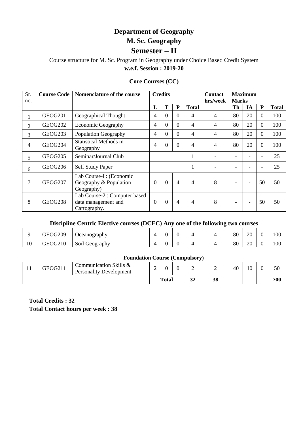# **Department of Geography M. Sc. Geography Semester – II**

# Course structure for M. Sc. Program in Geography under Choice Based Credit System **w.e.f. Session : 2019-20**

# **Core Courses (CC)**

| Sr.<br>no.     | <b>Course Code</b>  | Nomenclature of the course                                           |                | <b>Credits</b> |                |              | <b>Contact</b><br>hrs/week | <b>Marks</b>             | <b>Maximum</b> |                |              |
|----------------|---------------------|----------------------------------------------------------------------|----------------|----------------|----------------|--------------|----------------------------|--------------------------|----------------|----------------|--------------|
|                |                     |                                                                      | L              | T              | P              | <b>Total</b> |                            | Th                       | IA             | ${\bf P}$      | <b>Total</b> |
|                | GEOG201             | Geographical Thought                                                 | 4              | $\Omega$       | $\overline{0}$ | 4            | $\overline{4}$             | 80                       | 20             | $\overline{0}$ | 100          |
| $\overline{2}$ | GEOG <sub>202</sub> | <b>Economic Geography</b>                                            | 4              | $\overline{0}$ | 0              | 4            | 4                          | 80                       | 20             | $\overline{0}$ | 100          |
| 3              | GEOG <sub>203</sub> | Population Geography                                                 | $\overline{4}$ | $\Omega$       | $\overline{0}$ | 4            | 4                          | 80                       | 20             | $\Omega$       | 100          |
| 4              | GEOG204             | <b>Statistical Methods in</b><br>Geography                           | $\overline{4}$ | $\theta$       | $\overline{0}$ | 4            | 4                          | 80                       | 20             | $\overline{0}$ | 100          |
| 5              | GEOG <sub>205</sub> | Seminar/Journal Club                                                 |                |                |                | 1            |                            |                          |                |                | 25           |
| 6              | GEOG <sub>206</sub> | <b>Self Study Paper</b>                                              |                |                |                |              | $\overline{\phantom{0}}$   | -                        |                |                | 25           |
| 7              | GEOG <sub>207</sub> | Lab Course-I : (Economic<br>Geography & Population<br>Geography)     | $\Omega$       | $\theta$       | $\overline{4}$ | 4            | 8                          | $\overline{\phantom{0}}$ |                | 50             | 50           |
| 8              | <b>GEOG208</b>      | Lab Course-2 : Computer based<br>data management and<br>Cartography. | $\Omega$       | $\Omega$       | 4              | 4            | 8                          | $\overline{\phantom{a}}$ | ۰              | 50             | 50           |

# **Discipline Centric Elective courses (DCEC) Any one of the following two courses**

|    | GEOG209 | <b>J</b> ceanography |  |  | 80 | 20 |            | 100 |
|----|---------|----------------------|--|--|----|----|------------|-----|
| 10 | GEOG210 | Soil Geography       |  |  | 80 | 20 | $\sqrt{2}$ | 100 |

# **Foundation Course (Compulsory)**

| -4<br>. . | GEOG211 | Communication Skills &<br><b>Personality Development</b> | ∽ |              | ີ | ∸             | -  | 40 | 10 | 50  |
|-----------|---------|----------------------------------------------------------|---|--------------|---|---------------|----|----|----|-----|
|           |         |                                                          |   | <b>Total</b> |   | $\sim$<br>IJΔ | 38 |    |    | 700 |

**Total Credits : 32 Total Contact hours per week : 38**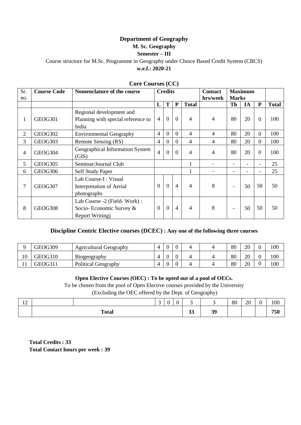# **Department of Geography**

# **M. Sc. Geography**

# **Semester – III**

Course structure for M.Sc. Programme in Geography under Choice Based Credit System (CBCS) **w.e.f.: 2020-21**

| Sr. | <b>Course Code</b> | Nomenclature of the course         |                | <b>Credits</b> |                |              | Contact        | <b>Maximum</b>           |    |                |              |
|-----|--------------------|------------------------------------|----------------|----------------|----------------|--------------|----------------|--------------------------|----|----------------|--------------|
| no. |                    |                                    |                |                |                |              | hrs/week       | <b>Marks</b>             |    |                |              |
|     |                    |                                    | L              | T              | P              | <b>Total</b> |                | <b>Th</b>                | IA | P              | <b>Total</b> |
|     |                    | Regional development and           |                |                |                |              |                |                          |    |                |              |
| 1   | GEOG301            | Planning with special reference to | $\overline{4}$ | $\overline{0}$ | $\Omega$       | 4            | 4              | 80                       | 20 | $\theta$       | 100          |
|     |                    | India                              |                |                |                |              |                |                          |    |                |              |
| 2   | GEOG302            | <b>Environmental Geography</b>     | 4              | $\overline{0}$ | $\Omega$       | 4            | $\overline{4}$ | 80                       | 20 | $\overline{0}$ | 100          |
| 3   | GEOG303            | Remote Sensing (RS)                | 4              | $\overline{0}$ | $\Omega$       | 4            | 4              | 80                       | 20 | $\overline{0}$ | 100          |
| 4   | GEOG304            | Geographical Information System    | $\overline{4}$ | $\overline{0}$ | $\Omega$       | 4            | $\overline{4}$ | 80                       | 20 | $\Omega$       | 100          |
|     |                    | (GIS)                              |                |                |                |              |                |                          |    |                |              |
| 5   | GEOG305            | Seminar/Journal Club               |                |                |                |              |                |                          |    |                | 25           |
| 6   | GEOG306            | <b>Self Study Paper</b>            |                |                |                |              |                |                          |    |                | 25           |
|     |                    | Lab Course-I: Visual               |                |                |                |              |                |                          |    |                |              |
| 7   | GEOG307            | Interpretation of Aerial           | $\Omega$       | $\overline{0}$ | $\overline{4}$ | 4            | 8              | $\overline{\phantom{a}}$ | 50 | 50             | 50           |
|     |                    | photographs                        |                |                |                |              |                |                          |    |                |              |
|     |                    | Lab Course -2 (Field-Work):        |                |                |                |              |                |                          |    |                |              |
| 8   | GEOG308            | Socio-Economic Survey &            | $\theta$       | $\overline{0}$ | $\overline{4}$ | 4            | 8              | $\overline{\phantom{a}}$ | 50 | 50             | 50           |
|     |                    | <b>Report Writing</b> )            |                |                |                |              |                |                          |    |                |              |

#### **Core Courses (CC)**

# **Discipline Centric Elective courses (DCEC) : Any one of the following three courses**

|     | GEOG309 | Agricultural Geography     | $\overline{0}$ |   | 4 | 80 | 20 | 100 |
|-----|---------|----------------------------|----------------|---|---|----|----|-----|
| 10  | GEOG310 | B <sub>10</sub> geography  | Λ              |   |   | 80 | 20 | 100 |
| 1 T | GEOG311 | <b>Political Geography</b> | $\Omega$<br>∪  | ν | 4 | 80 | 20 | 100 |

#### **Open Elective Courses (OEC) : To be opted out of a pool of OECs.**

To be chosen from the pool of Open Elective courses provided by the University

(Excluding the OEC offered by the Dept. of Geography)

| $1^{\wedge}$<br>$\overline{1}$ |              | $\sim$<br>້ | $\sim$<br>υ | $\Omega$<br>-V | ້                  | ∽  | 80 | 20 | $\sim$<br>ັ | 100 |
|--------------------------------|--------------|-------------|-------------|----------------|--------------------|----|----|----|-------------|-----|
|                                | <b>Total</b> |             |             |                | $\mathbf{A}$<br>JJ | 39 |    |    |             | 750 |

**Total Credits : 33 Total Contact hours per week : 39**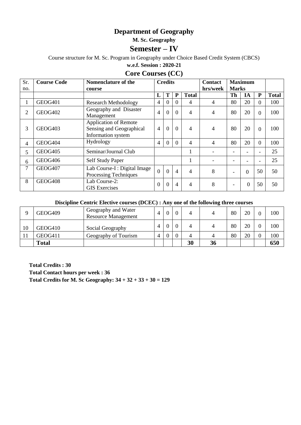# **Department of Geography**

**M. Sc. Geography**

# **Semester – IV**

Course structure for M. Sc. Program in Geography under Choice Based Credit System (CBCS)

**w.e.f. Session : 2020-21**

# **Core Courses (CC)**

| Sr. | <b>Course Code</b>  | Nomenclature of the                                                            | <b>Credits</b> |          |                |              | <b>Contact</b>           |                          | <b>Maximum</b> |                |              |
|-----|---------------------|--------------------------------------------------------------------------------|----------------|----------|----------------|--------------|--------------------------|--------------------------|----------------|----------------|--------------|
| no. |                     | course                                                                         |                |          |                |              | hrs/week<br><b>Marks</b> |                          |                |                |              |
|     |                     |                                                                                | L              | T        | ${\bf P}$      | <b>Total</b> |                          | Th                       | IA             | ${\bf P}$      | <b>Total</b> |
|     | GEOG401             | <b>Research Methodology</b>                                                    | 4              | $\Omega$ | $\Omega$       | 4            | $\overline{4}$           | 80                       | 20             | $\Omega$       | 100          |
| 2   | GEOG402             | Geography and Disaster<br>Management                                           | $\overline{4}$ | $\Omega$ | $\Omega$       | 4            | 4                        | 80                       | 20             | $\Omega$       | 100          |
| 3   | GEOG <sub>403</sub> | <b>Application of Remote</b><br>Sensing and Geographical<br>Information system | $\overline{4}$ | $\Omega$ | $\theta$       | 4            | 4                        | 80                       | 20             | $\Omega$       | 100          |
| 4   | GEOG404             | Hydrology                                                                      | 4              | $\Omega$ | $\Omega$       | 4            | 4                        | 80                       | 20             | $\overline{0}$ | 100          |
| 5   | GEOG405             | Seminar/Journal Club                                                           |                |          |                | 1            |                          | ۰                        |                | -              | 25           |
| 6   | GEOG406             | Self Study Paper                                                               |                |          |                | 1            |                          | ۰                        | ۰              | -              | 25           |
| 7   | GEOG407             | Lab Course-I : Digital Image<br>Processing Techniques                          | $\theta$       | $\Omega$ | $\overline{4}$ | 4            | 8                        | $\overline{\phantom{0}}$ | $\overline{0}$ | 50             | 50           |
| 8   | GEOG408             | Lab Course-2:<br><b>GIS</b> Exercises                                          | $\theta$       | $\Omega$ | $\overline{4}$ | 4            | 8                        | $\overline{\phantom{0}}$ | $\overline{0}$ | 50             | 50           |

#### **Discipline Centric Elective courses (DCEC) : Any one of the following three courses**

|    | GEOG409      | Geography and Water<br><b>Resource Management</b> | Δ |  | 4  |    | 80 | 20 | 100 |
|----|--------------|---------------------------------------------------|---|--|----|----|----|----|-----|
| 10 | GEOG410      | Social Geography                                  |   |  | 4  |    | 80 | 20 | 100 |
|    | GEOG411      | Geography of Tourism                              | Δ |  | 4  | 4  | 80 | 20 | 100 |
|    | <b>Total</b> |                                                   |   |  | 30 | 36 |    |    | 650 |

**Total Credits : 30 Total Contact hours per week : 36 Total Credits for M. Sc Geography:**  $34 + 32 + 33 + 30 = 129$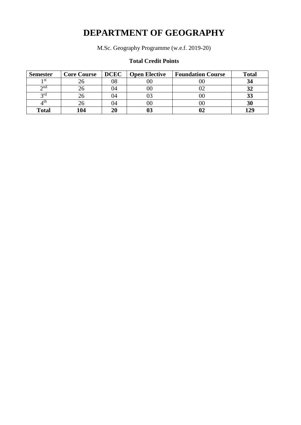# **DEPARTMENT OF GEOGRAPHY**

M.Sc. Geography Programme (w.e.f. 2019-20)

# **Total Credit Points**

| <b>Semester</b> | <b>Core Course</b> | <b>DCEC</b> | <b>Open Elective</b> | <b>Foundation Course</b> | <b>Total</b> |
|-----------------|--------------------|-------------|----------------------|--------------------------|--------------|
| 1 st            | ۷b                 | 08          | $00\,$               | vu                       |              |
| $\gamma$ nd     |                    | )4          | $00\,$               | ∪∠                       |              |
| 2rd             | 26                 | )4          |                      | UU                       | 33           |
| ∕∕th            |                    | )4          | $00\,$               | UU                       | 30           |
| <b>Total</b>    | 104                | 20          |                      |                          | 170          |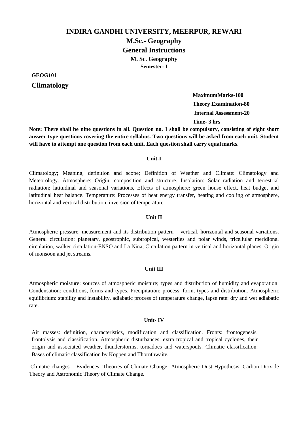# **INDIRA GANDHI UNIVERSITY, MEERPUR, REWARI**

**M.Sc.- Geography General Instructions M. Sc. Geography Semester- I**

**GEOG101**

# **Climatology**

**MaximumMarks-100 Theory Examination-80 Internal Assessment-20 Time- 3 hrs**

**Note: There shall be nine questions in all. Question no. 1 shall be compulsory, consisting of eight short answer type questions covering the entire syllabus. Two questions will be asked from each unit. Student will have to attempt one question from each unit. Each question shall carry equal marks.**

#### **Unit-I**

Climatology; Meaning, definition and scope; Definition of Weather and Climate: Climatology and Meteorology. Atmosphere: Origin, composition and structure. Insolation: Solar radiation and terrestrial radiation; latitudinal and seasonal variations, Effects of atmosphere: green house effect, heat budget and latitudinal heat balance. Temperature: Processes of heat energy transfer, heating and cooling of atmosphere, horizontal and vertical distribution, inversion of temperature.

#### **Unit II**

Atmospheric pressure: measurement and its distribution pattern – vertical, horizontal and seasonal variations. General circulation: planetary, geostrophic, subtropical, westerlies and polar winds, tricellular meridional circulation, walker circulation-ENSO and La Nina; Circulation pattern in vertical and horizontal planes. Origin of monsoon and jet streams.

#### **Unit III**

Atmospheric moisture: sources of atmospheric moisture; types and distribution of humidity and evaporation. Condensation: conditions, forms and types. Precipitation: process, form, types and distribution. Atmospheric equilibrium: stability and instability, adiabatic process of temperature change, lapse rate: dry and wet adiabatic rate.

#### **Unit- IV**

Air masses: definition, characteristics, modification and classification. Fronts: frontogenesis, frontolysis and classification. Atmospheric disturbances: extra tropical and tropical cyclones, their origin and associated weather, thunderstorms, tornadoes and waterspouts. Climatic classification: Bases of climatic classification by Koppen and Thornthwaite.

Climatic changes – Evidences; Theories of Climate Change- Atmospheric Dust Hypothesis, Carbon Dioxide Theory and Astronomic Theory of Climate Change.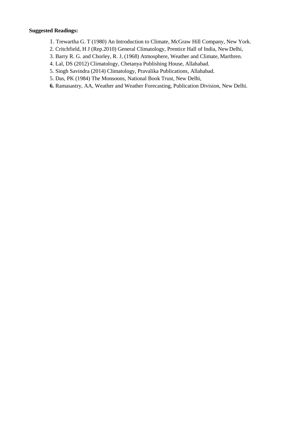- 1. Trewartha G. T (1980) An Introduction to Climate, McGraw Hill Company, New York.
- 2. Critchfield, H J (Rep.2010) General Climatology, Prentice Hall of India, NewDelhi,
- 3. Barry R. G. and Chorley, R. J, (1968) Atmosphere, Weather and Climate, Marthren.
- 4. Lal, DS (2012) Climatology, Chetanya Publishing House, Allahabad.
- 5. Singh Savindra (2014) Climatology, Pravalika Publications, Allahabad.
- 5. Das, PK (1984) The Monsoons, National Book Trust, New Delhi,
- **6.** Ramasastry, AA, Weather and Weather Forecasting, Publication Division, New Delhi.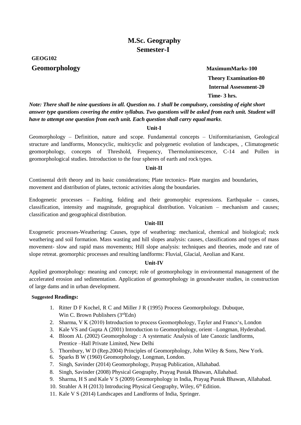# **GEOG102**

**Geomorphology MaximumMarks-100 Theory Examination-80 Internal Assessment-20 Time- 3 hrs.**

*Note: There shall be nine questions in all. Question no. 1 shall be compulsory, consisting of eight short answer type questions covering the entire syllabus. Two questions will be asked from each unit. Student will have to attempt one question from each unit. Each question shall carry equal marks*.

#### **Unit-I**

Geomorphology – Definition, nature and scope. Fundamental concepts – Uniformitarianism, Geological structure and landforms, Monocyclic, multicyclic and polygenetic evolution of landscapes, , Climatogenetic geomorphology, concepts of Threshold, Frequency, Thermoluminescence, C-14 and Pollen in geomorphological studies. Introduction to the four spheres of earth and rock types.

#### **Unit-II**

Continental drift theory and its basic considerations; Plate tectonics- Plate margins and boundaries, movement and distribution of plates, tectonic activities along the boundaries.

Endogenetic processes – Faulting, folding and their geomorphic expressions. Earthquake – causes, classification, intensity and magnitude, geographical distribution. Volcanism – mechanism and causes; classification and geographical distribution.

#### **Unit-III**

Exogenetic processes-Weathering: Causes, type of weathering: mechanical, chemical and biological; rock weathering and soil formation. Mass wasting and hill slopes analysis: causes, classifications and types of mass movement- slow and rapid mass movements; Hill slope analysis: techniques and theories, mode and rate of slope retreat. geomorphic processes and resulting landforms: Fluvial, Glacial, Aeolian and Karst.

#### **Unit-IV**

Applied geomorphology: meaning and concept; role of geomorphology in environmental management of the accelerated erosion and sedimentation. Application of geomorphology in groundwater studies, in construction of large dams and in urban development.

- 1. Ritter D F Kochel, R C and Miller J R (1995) Process Geomorphology. Dubuque, Win C. Brown Publishers  $(3<sup>rd</sup>Edn)$
- 2. Sharma, V K (2010) Introduction to process Geomorphology, Tayler and Francs's, London
- 3. Kale VS and Gupta A (2001) Introduction to Geomorphology, orient –Longman, Hyderabad.
- 4. Bloom AL (2002) Geomorphology : A systematic Analysis of late Canozic landforms, Prentice –Hall Private Limited, New Delhi
- 5. Thornbury, W D (Rep.2004) Principles of Geomorphology, John Wiley & Sons, New York.
- 6. Sparks B W (1960) Geomorphology, Longman, London.
- 7. Singh, Savinder (2014) Geomorphology, Prayag Publication, Allahabad.
- 8. Singh, Savinder (2008) Physical Geography, Prayag Pustak Bhawan, Allahabad.
- 9. Sharma, H S and Kale V S (2009) Geomorphology in India, Prayag Pustak Bhawan, Allahabad.
- 10. Strahler A H (2013) Introducing Physical Geography, Wiley, 6<sup>th</sup> Edition.
- 11. Kale V S (2014) Landscapes and Landforms of India, Springer.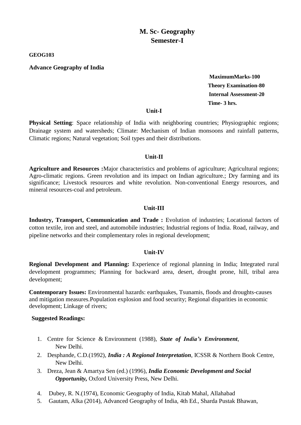**GEOG103**

**Advance Geography of India**

 **MaximumMarks-100 Theory Examination-80 Internal Assessment-20 Time- 3 hrs.**

#### **Unit-I**

**Physical Setting**: Space relationship of India with neighboring countries; Physiographic regions; Drainage system and watersheds; Climate: Mechanism of Indian monsoons and rainfall patterns, Climatic regions; Natural vegetation; Soil types and their distributions.

#### **Unit-II**

**Agriculture and Resources :**Major characteristics and problems of agriculture; Agricultural regions; Agro-climatic regions. Green revolution and its impact on Indian agriculture.; Dry farming and its significance; Livestock resources and white revolution. Non-conventional Energy resources, and mineral resources-coal and petroleum.

## **Unit-III**

Industry, Transport, Communication and Trade: Evolution of industries; Locational factors of cotton textile, iron and steel, and automobile industries; Industrial regions of India. Road, railway, and pipeline networks and their complementary roles in regional development;

#### **Unit-IV**

**Regional Development and Planning:** Experience of regional planning in India; Integrated rural development programmes; Planning for backward area, desert, drought prone, hill, tribal area development;

**Contemporary Issues:** Environmental hazards: earthquakes, Tsunamis, floods and droughts-causes and mitigation measures.Population explosion and food security; Regional disparities in economic development; Linkage of rivers;

- 1. Centre for Science & Environment (1988), *State of India's Environment*, New Delhi.
- 2. Desphande, C.D.(1992), *India : A Regional Interpretation*, ICSSR & Northern Book Centre, New Delhi.
- 3. Dreza, Jean & Amartya Sen (ed.) (1996), *India Economic Development and Social Opportunity,* Oxford University Press, New Delhi.
- 4. Dubey, R. N.(1974), Economic Geography of India, Kitab Mahal, Allahabad
- 5. Gautam, Alka (2014), Advanced Geography of India, 4th Ed., Sharda Pustak Bhawan,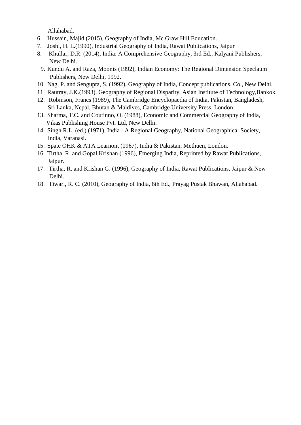Allahabad.

- 6. Hussain, Majid (2015), Geography of India, Mc Graw Hill Education.
- 7. Joshi, H. L.(1990), Industrial Geography of India, Rawat Publications, Jaipur
- 8. Khullar, D.R. (2014), India: A Comprehensive Geography, 3rd Ed., Kalyani Publishers, New Delhi.
- 9. Kundu A. and Raza, Moonis (1992), Indian Economy: The Regional Dimension Speclaum Publishers, New Delhi, 1992.
- 10. Nag, P. and Sengupta, S. (1992), Geography of India, Concept publications. Co., New Delhi.
- 11. Rautray, J.K.(1993), Geography of Regional Disparity, Asian Institute of Technology,Bankok.
- 12. Robinson, Francs (1989), The Cambridge Encyclopaedia of India, Pakistan, Bangladesh, Sri Lanka, Nepal, Bhutan & Maldives, Cambridge University Press, London.
- 13. Sharma, T.C. and Coutinno, O. (1988), Economic and Commercial Geography of India, Vikas Publishing House Pvt. Ltd, New Delhi.
- 14. Singh R.L. (ed.) (1971), India A Regional Geography, National Geographical Society, India, Varanasi.
- 15. Spate OHK & ATA Learnont (1967), India & Pakistan, Methuen, London.
- 16. Tirtha, R. and Gopal Krishan (1996), Emerging India, Reprinted by Rawat Publications, Jaipur.
- 17. Tirtha, R. and Krishan G. (1996), Geography of India, Rawat Publications, Jaipur & New Delhi.
- 18. Tiwari, R. C. (2010), Geography of India, 6th Ed., Prayag Pustak Bhawan, Allahabad.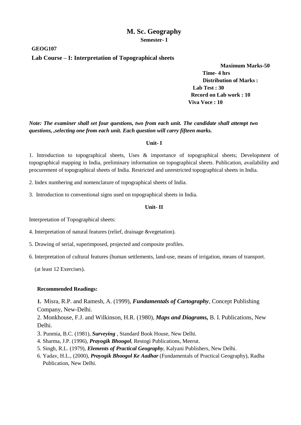**GEOG107**

#### **Lab Course – I: Interpretation of Topographical sheets**

**Maximum Marks-50** 

 **Time- 4 hrs Distribution of Marks : Lab Test : 30 Record on Lab work : 10 Viva Voce : 10**

*Note: The examiner shall set four questions, two from each unit. The candidate shall attempt two questions, ,selecting one from each unit. Each question will carry fifteen marks.*

#### **Unit- I**

1. Introduction to topographical sheets, Uses & importance of topographical sheets; Development of topographical mapping in India, preliminary information on topographical sheets. Publication, availability and procurement of topographical sheets of India. Restricted and unrestricted topographical sheets in India.

2. Index numbering and nomenclature of topographical sheets of India.

3. Introduction to conventional signs used on topographical sheets in India.

#### **Unit- II**

Interpretation of Topographical sheets:

4. Interpretation of natural features (relief, drainage &vegetation).

5. Drawing of serial, superimposed, projected and composite profiles.

6. Interpretation of cultural features (human settlements, land-use, means of irrigation, means of transport.

(at least 12 Exercises).

#### **Recommended Readings:**

**1.** Misra, R.P. and Ramesh, A. (1999), *Fundamentals of Cartography*, Concept Publishing Company, New-Delhi.

2. Monkhouse, F.J. and Wilkinson, H.R. (1980), *Maps and Diagrams,* B. I. Publications, New Delhi.

- 3. Punmia, B.C. (1981), *Surveying* , Standard Book House, New Delhi.
- 4. Sharma, J.P. (1996), *Prayogik Bhoogol*, Restogi Publications, Meerut.
- 5. Singh, R.L. (1979), *Elements of Practical Geography*, Kalyani Publishers, New Delhi.
- 6. Yadav, H.L., (2000), *Prayogik Bhoogol Ke Aadhar* (Fundamentals of Practical Geography), Radha Publication, New Delhi.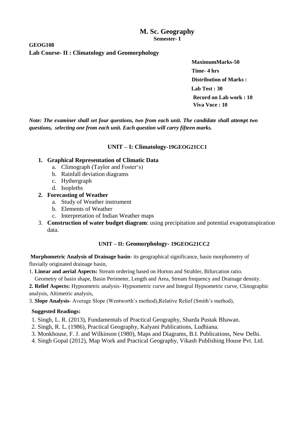## **GEOG108 Lab Course- II : Climatology and Geomorphology**

 **MaximumMarks-50 Time- 4 hrs Distribution of Marks : Lab Test : 30 Record on Lab work : 10 Viva Voce : 10**

*Note: The examiner shall set four questions, two from each unit. The candidate shall attempt two questions, selecting one from each unit. Each question will carry fifteen marks.*

# **UNIT – I: Climatology-19GEOG21CC1**

## **1. Graphical Representation of Climatic Data**

- a. Climograph (Taylor and Foster's)
- b. Rainfall deviation diagrams
- c. Hythergraph
- d. Isopleths

# **2. Forecasting of Weather**

- a. Study of Weather instrument
- b. Elements of Weather
- c. Interpretation of Indian Weather maps
- 3. **Construction of water budget diagram**: using precipitation and potential evapotranspiration data.

# **UNIT – II: Geomorphology- 19GEOG21CC2**

**Morphometric Analysis of Drainage basin**- its geographical significance, basin morphometry of fluvially originated drainage basin,

1. **Linear and aerial Aspects:** Stream ordering based on Horton and Strahler, Bifurcation ratio.

Geometry of basin shape, Basin Perimeter, Length and Area, Stream frequency and Drainage density.

**2. Relief Aspects:** Hypsometric analysis- Hypsometric curve and Integral Hypsometric curve, Clinographic analysis, Altimetric analysis,

3. **Slope Analysis**- Average Slope (Wentworth's method),Relative Relief (Smith's method),

- 1. Singh, L. R. (2013), Fundamentals of Practical Geography, Sharda Pustak Bhawan.
- 2. Singh, R. L. (1986), Practical Geography, Kalyani Publications, Ludhiana.
- 3. Monkhouse, F. J. and Wilkinson (1980), Maps and Diagrams, B.I. Publications, New Delhi.
- 4. Singh Gopal (2012), Map Work and Practical Geography, Vikash Publishing House Pvt. Ltd.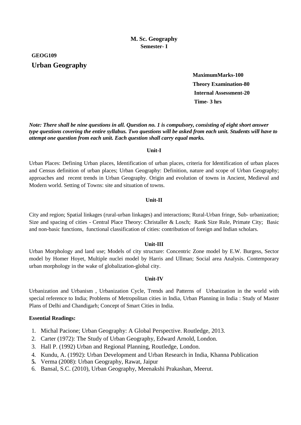**GEOG109 Urban Geography**

> **MaximumMarks-100 Theory Examination-80 Internal Assessment-20 Time- 3 hrs**

*Note: There shall be nine questions in all. Question no. 1 is compulsory, consisting of eight short answer type questions covering the entire syllabus. Two questions will be asked from each unit. Students will have to attempt one question from each unit. Each question shall carry equal marks.*

#### **Unit-I**

Urban Places: Defining Urban places, Identification of urban places, criteria for Identification of urban places and Census definition of urban places; Urban Geography: Definition, nature and scope of Urban Geography; approaches and recent trends in Urban Geography. Origin and evolution of towns in Ancient, Medieval and Modern world. Setting of Towns: site and situation of towns.

#### **Unit-II**

City and region; Spatial linkages (rural-urban linkages) and interactions; Rural-Urban fringe, Sub- urbanization; Size and spacing of cities - Central Place Theory: Christaller & Losch; Rank Size Rule, Primate City; Basic and non-basic functions, functional classification of cities: contribution of foreign and Indian scholars.

#### **Unit-III**

Urban Morphology and land use; Models of city structure: Concentric Zone model by E.W. Burgess, Sector model by Homer Hoyet, Multiple nuclei model by Harris and Ullman; Social area Analysis. Contemporary urban morphology in the wake of globalization-global city.

#### **Unit-IV**

Urbanization and Urbanism , Urbanization Cycle, Trends and Patterns of Urbanization in the world with special reference to India; Problems of Metropolitan cities in India, Urban Planning in India : Study of Master Plans of Delhi and Chandigarh; Concept of Smart Cities in India.

#### **Essential Readings:**

- 1. Michal Pacione; Urban Geography: A Global Perspective. Routledge, 2013.
- 2. Carter (1972): The Study of Urban Geography, Edward Arnold, London.
- 3. Hall P. (1992) Urban and Regional Planning, Routledge, London.
- 4. Kundu, A. (1992): Urban Development and Urban Research in India, Khanna Publication
- **5.** Verma (2008): Urban Geography, Rawat, Jaipur
- 6. Bansal, S.C. (2010), Urban Geography, Meenakshi Prakashan, Meerut.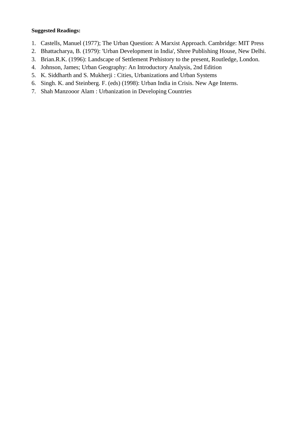- 1. Castells, Manuel (1977); The Urban Question: A Marxist Approach. Cambridge: MIT Press
- 2. Bhattacharya, B. (1979): 'Urban Development in India', Shree Publishing House, New Delhi.
- 3. Brian.R.K. (1996): Landscape of Settlement Prehistory to the present, Routledge, London.
- 4. Johnson, James; Urban Geography: An Introductory Analysis, 2nd Edition
- 5. K. Siddharth and S. Mukherji : Cities, Urbanizations and Urban Systems
- 6. Singh. K. and Steinberg. F. (eds) (1998): Urban India in Crisis. New Age Interns.
- 7. Shah Manzooor Alam : Urbanization in Developing Countries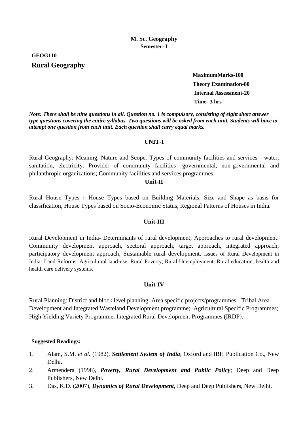**GEOG110 Rural Geography**

> **MaximumMarks-100 Theory Examination-80 Internal Assessment-20 Time- 3 hrs**

*Note: There shall be nine questions in all. Question no. 1 is compulsory, consisting of eight short answer type questions covering the entire syllabus. Two questions will be asked from each unit. Students will have to attempt one question from each unit. Each question shall carry equal marks.*

#### **UNIT-I**

Rural Geography: Meaning, Nature and Scope. Types of community facilities and services - water, sanitation, electricity. Provider of community facilities- governmental, non-governmental and philanthropic organizations; Community facilities and services programmes

# **Unit-II**

Rural House Types **:** House Types based on Building Materials, Size and Shape as basis for classification, House Types based on Socio-Economic Status, Regional Patterns of Houses in India.

#### **Unit-III**

Rural Development in India**-** Determinants of rural development; Approaches to rural development: Community development approach, sectoral approach, target approach, integrated approach, participatory development approach; Sustainable rural development. Issues of Rural Development in India: Land Reforms, Agricultural land-use, Rural Poverty, Rural Unemployment. Rural education, health and health care delivery systems.

#### **Unit-IV**

Rural Planning: District and block level planning; Area specific projects/programmes - Tribal Area Development and Integrated Wasteland Development programme; Agricultural Specific Programmes; High Yielding Variety Programme, Integrated Rural Development Programmes (IRDP).

- 1. Alam, S.M. *et al.* (1982), *Settlement System of India*, Oxford and IBH Publication Co., New Delhi.
- 2. Armendera (1998), *Poverty, Rural Development and Public Policy*; Deep and Deep Publishers, New Delhi.
- 3. Das, K.D. (2007), *Dynamics of Rural Development*, Deep and Deep Publishers, New Delhi.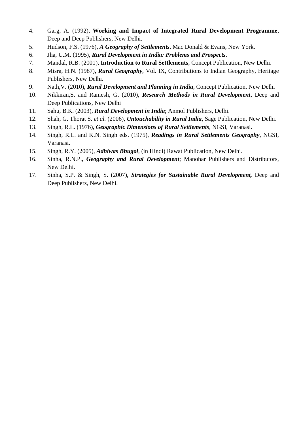- 4. Garg, A. (1992), **Working and Impact of Integrated Rural Development Programme**, Deep and Deep Publishers, New Delhi.
- 5. Hudson, F.S. (1976), *A Geography of Settlements*, Mac Donald & Evans, New York.
- 6. Jha, U.M. (1995), *Rural Development in India: Problems and Prospects*.
- 7. Mandal, R.B. (2001), **Introduction to Rural Settlements**, Concept Publication, New Delhi.
- 8. Misra, H.N. (1987), *Rural Geography*, Vol. IX, Contributions to Indian Geography, Heritage Publishers, New Delhi.
- 9. Nath,V. (2010), *Rural Development and Planning in India*, Concept Publication, New Delhi
- 10. Nikkiran,S. and Ramesh, G. (2010), *Research Methods in Rural Development*, Deep and Deep Publications, New Delhi
- 11. Sahu, B.K. (2003), *Rural Development in India*; Anmol Publishers, Delhi.
- 12. Shah, G. Thorat S. *et al.* (2006), *Untouchability in Rural India*, Sage Publication, New Delhi.
- 13. Singh, R.L. (1976), *Geographic Dimensions of Rural Settlements*, NGSI, Varanasi.
- 14. Singh, R.L. and K.N. Singh eds. (1975), *Readings in Rural Settlements Geography*, NGSI, Varanasi.
- 15. Singh, R.Y. (2005), *Adhiwas Bhugol*, (in Hindi) Rawat Publication, New Delhi.
- 16. Sinha, R.N.P., *Geography and Rural Development*; Manohar Publishers and Distributors, New Delhi.
- 17. Sinha, S.P. & Singh, S. (2007), *Strategies for Sustainable Rural Development,* Deep and Deep Publishers, New Delhi.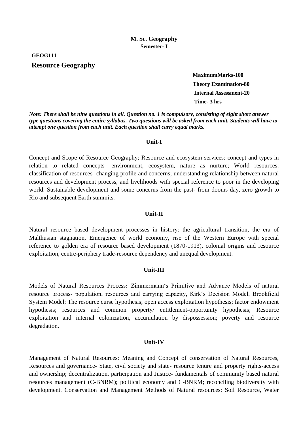**GEOG111**

# **Resource Geography**

**MaximumMarks-100 Theory Examination-80 Internal Assessment-20 Time- 3 hrs**

*Note: There shall be nine questions in all. Question no. 1 is compulsory, consisting of eight short answer type questions covering the entire syllabus. Two questions will be asked from each unit. Students will have to attempt one question from each unit. Each question shall carry equal marks.*

#### **Unit-I**

Concept and Scope of Resource Geography; Resource and ecosystem services: concept and types in relation to related concepts- environment, ecosystem, nature as nurture; World resources: classification of resources- changing profile and concerns; understanding relationship between natural resources and development process, and livelihoods with special reference to poor in the developing world. Sustainable development and some concerns from the past- from dooms day, zero growth to Rio and subsequent Earth summits.

#### **Unit-II**

Natural resource based development processes in history: the agricultural transition, the era of Malthusian stagnation, Emergence of world economy, rise of the Western Europe with special reference to golden era of resource based development (1870-1913), colonial origins and resource exploitation, centre-periphery trade-resource dependency and unequal development.

#### **Unit-III**

Models of Natural Resources Process**:** Zimmermann's Primitive and Advance Models of natural resource process- population, resources and carrying capacity, Kirk's Decision Model, Brookfield System Model; The resource curse hypothesis; open access exploitation hypothesis; factor endowment hypothesis; resources and common property/ entitlement-opportunity hypothesis; Resource exploitation and internal colonization, accumulation by dispossession; poverty and resource degradation.

#### **Unit-IV**

Management of Natural Resources: Meaning and Concept of conservation of Natural Resources, Resources and governance- State, civil society and state- resource tenure and property rights-access and ownership; decentralization, participation and Justice- fundamentals of community based natural resources management (C-BNRM); political economy and C-BNRM; reconciling biodiversity with development. Conservation and Management Methods of Natural resources: Soil Resource, Water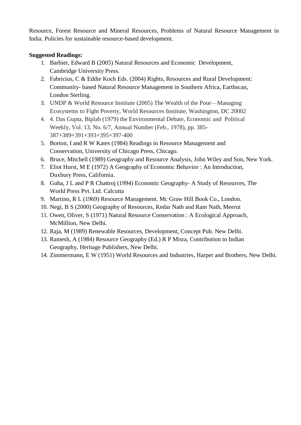Resource, Forest Resource and Mineral Resources, Problems of Natural Resource Management in India. Policies for sustainable resource-based development.

- 1. Barbier, Edward B (2005) Natural Resources and Economic Development, Cambridge University Press.
- 2. Fabricius, C & Eddie Koch Eds. (2004) Rights, Resources and Rural Development: Community- based Natural Resource Management in Southern Africa, Earthscan, London Sterling.
- 3. UNDP & World Resource Institute (2005) The Wealth of the Poor—Managing Ecosystems to Fight Poverty, World Resources Institute, Washington, DC 20002
- 4. 4. Das Gupta, Biplab (1979) the Environmental Debate, Economic and Political Weekly, Vol. 13, No. 6/7, Annual Number (Feb., 1978), pp. 385- 387+389+391+393+395+397-400
- 5. Borton, I and R W Kates (1984) Readings in Resource Management and Conservation, University of Chicago Press, Chicago.
- 6. Bruce, Mitchell (1989) Geography and Resource Analysis, John Wiley and Son, New York.
- 7. Eliot Hurst, M E (1972) A Geography of Economic Behavior : An Introduction, Duxbury Press, California.
- 8. Guha, J L and P R Chattroj (1994) Economic Geography- A Study of Resources, The World Press Pvt. Ltd. Calcutta
- 9. Martino, R L (1969) Resource Management. Mc Graw Hill Book Co., London.
- 10. Negi, B S (2000) Geography of Resources, Kedar Nath and Ram Nath, Meerut
- 11. Owen, Oliver, S (1971) Natural Resource Conservation : A Ecological Approach, McMillion, New Delhi.
- 12. Raja, M (1989) Renewable Resources, Development, Concept Pub. New Delhi.
- 13. Ramesh, A (1984) Resource Geography (Ed.) R P Misra, Contribution to Indian Geography, Heritage Publishers, New Delhi.
- 14. Zimmermann, E W (1951) World Resources and Industries, Harper and Brothers, New Delhi.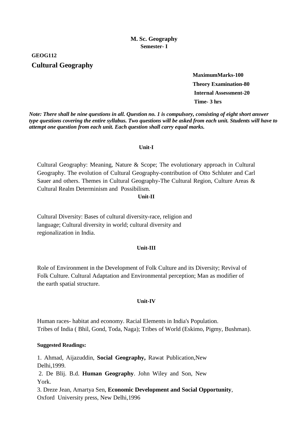**GEOG112**

# **Cultural Geography**

**MaximumMarks-100 Theory Examination-80 Internal Assessment-20 Time- 3 hrs**

*Note: There shall be nine questions in all. Question no. 1 is compulsory, consisting of eight short answer type questions covering the entire syllabus. Two questions will be asked from each unit. Students will have to attempt one question from each unit. Each question shall carry equal marks.*

#### **Unit-I**

Cultural Geography: Meaning, Nature & Scope; The evolutionary approach in Cultural Geography. The evolution of Cultural Geography-contribution of Otto Schluter and Carl Sauer and others. Themes in Cultural Geography-The Cultural Region, Culture Areas & Cultural Realm Determinism and Possibilism.

#### **Unit-II**

Cultural Diversity: Bases of cultural diversity-race, religion and language; Cultural diversity in world; cultural diversity and regionalization in India.

#### **Unit-III**

Role of Environment in the Development of Folk Culture and its Diversity; Revival of Folk Culture. Cultural Adaptation and Environmental perception; Man as modifier of the earth spatial structure.

#### **Unit-IV**

Human races- habitat and economy. Racial Elements in India's Population. Tribes of India ( Bhil, Gond, Toda, Naga); Tribes of World (Eskimo, Pigmy, Bushman).

#### **Suggested Readings:**

1. Ahmad, Aijazuddin, **Social Geography,** Rawat Publication,New Delhi,1999. 2. De Blij. B.d. **Human Geography**. John Wiley and Son, New York. 3. Dreze Jean, Amartya Sen, **Economic Development and Social Opportunity**, Oxford University press, New Delhi,1996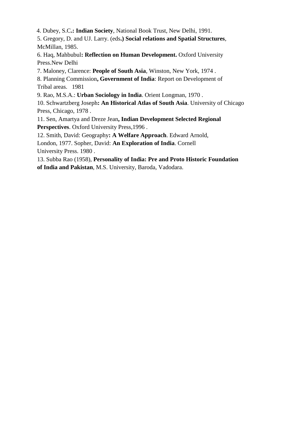4. Dubey, S.C**.: Indian Society**, National Book Trust, New Delhi, 1991.

5. Gregory, D. and UJ. Larry. (eds**.) Social relations and Spatial Structures**, McMillan, 1985.

6. Haq, Mahbubul**: Reflection on Human Development.** Oxford University Press.New Delhi

7. Maloney, Clarence: **People of South Asia**, Winston, New York, 1974 .

8. Planning Commission**, Government of India**: Report on Development of Tribal areas. 1981

9. Rao, M.S.A.: **Urban Sociology in India**. Orient Longman, 1970 .

10. Schwartzberg Joseph**: An Historical Atlas of South Asia**. University of Chicago Press, Chicago, 1978 .

11. Sen, Amartya and Dreze Jean**, Indian Development Selected Regional Perspectives**. Oxford University Press,1996 .

12. Smith, David: Geography**: A Welfare Approach**. Edward Arnold,

London, 1977. Sopher, David: **An Exploration of India**. Cornell University Press. 1980 .

13. Subba Rao (1958), **Personality of India: Pre and Proto Historic Foundation** 

**of India and Pakistan**, M.S. University, Baroda, Vadodara.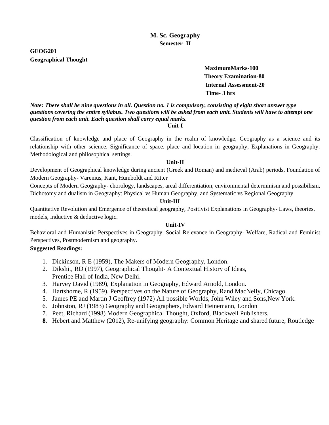# **GEOG201 Geographical Thought**

# **MaximumMarks-100 Theory Examination-80 Internal Assessment-20 Time- 3 hrs**

*Note: There shall be nine questions in all. Question no. 1 is compulsory, consisting of eight short answer type questions covering the entire syllabus. Two questions will be asked from each unit. Students will have to attempt one question from each unit. Each question shall carry equal marks.* **Unit-I**

Classification of knowledge and place of Geography in the realm of knowledge, Geography as a science and its relationship with other science, Significance of space, place and location in geography, Explanations in Geography: Methodological and philosophical settings.

#### **Unit-II**

Development of Geographical knowledge during ancient (Greek and Roman) and medieval (Arab) periods, Foundation of Modern Geography- Varenius, Kant, Humboldt and Ritter

Concepts of Modern Geography- chorology, landscapes, areal differentiation, environmental determinism and possibilism, Dichotomy and dualism in Geography: Physical vs Human Geography, and Systematic vs Regional Geography

#### **Unit-III**

Quantitative Revolution and Emergence of theoretical geography, Positivist Explanations in Geography- Laws, theories, models, Inductive & deductive logic.

#### **Unit-IV**

Behavioral and Humanistic Perspectives in Geography, Social Relevance in Geography- Welfare, Radical and Feminist Perspectives, Postmodernism and geography.

- 1. Dickinson, R E (1959), The Makers of Modern Geography, London.
- 2. Dikshit, RD (1997), Geographical Thought- A Contextual History of Ideas, Prentice Hall of India, New Delhi.
- 3. Harvey David (1989), Explanation in Geography, Edward Arnold, London.
- 4. Hartshorne, R (1959), Perspectives on the Nature of Geography, Rand MacNelly, Chicago.
- 5. James PE and Martin J Geoffrey (1972) All possible Worlds, John Wiley and Sons,New York.
- 6. Johnston, RJ (1983) Geography and Geographers, Edward Heinemann, London
- 7. Peet, Richard (1998) Modern Geographical Thought, Oxford, Blackwell Publishers.
- **8.** Hebert and Matthew (2012), Re-unifying geography: Common Heritage and shared future, Routledge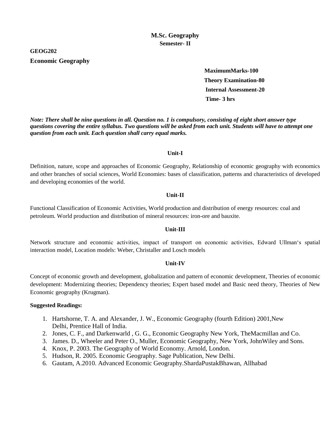# **GEOG202 Economic Geography**

 **MaximumMarks-100 Theory Examination-80 Internal Assessment-20 Time- 3 hrs**

*Note: There shall be nine questions in all. Question no. 1 is compulsory, consisting of eight short answer type questions covering the entire syllabus. Two questions will be asked from each unit. Students will have to attempt one question from each unit. Each question shall carry equal marks.*

#### **Unit-I**

Definition, nature, scope and approaches of Economic Geography, Relationship of economic geography with economics and other branches of social sciences, World Economies: bases of classification, patterns and characteristics of developed and developing economies of the world.

#### **Unit-II**

Functional Classification of Economic Activities, World production and distribution of energy resources: coal and petroleum. World production and distribution of mineral resources: iron-ore and bauxite.

#### **Unit-III**

Network structure and economic activities, impact of transport on economic activities, Edward Ullman's spatial interaction model, Location models: Weber, Christaller and Losch models

#### **Unit-IV**

Concept of economic growth and development, globalization and pattern of economic development, Theories of economic development: Modernizing theories; Dependency theories; Expert based model and Basic need theory, Theories of New Economic geography (Krugman).

- 1. Hartshorne, T. A. and Alexander, J. W., Economic Geography (fourth Edition) 2001,New Delhi, Prentice Hall of India.
- 2. Jones, C. F., and Darkenwarld , G. G., Economic Geography New York, TheMacmillan and Co.
- 3. James. D., Wheeler and Peter O., Muller, Economic Geography, New York, JohnWiley and Sons.
- 4. Knox, P. 2003. The Geography of World Economy. Arnold, London.
- 5. Hudson, R. 2005. Economic Geography. Sage Publication, New Delhi.
- 6. Gautam, A.2010. Advanced Economic Geography.ShardaPustakBhawan, Allhabad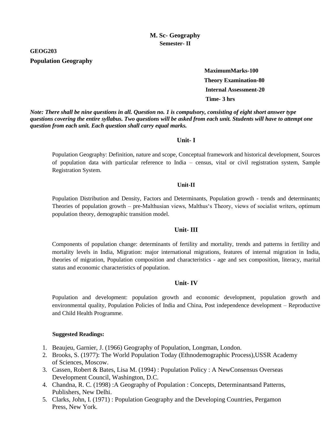# **GEOG203 Population Geography**

 **MaximumMarks-100 Theory Examination-80 Internal Assessment-20 Time- 3 hrs**

*Note: There shall be nine questions in all. Question no. 1 is compulsory, consisting of eight short answer type questions covering the entire syllabus. Two questions will be asked from each unit. Students will have to attempt one question from each unit. Each question shall carry equal marks.*

#### **Unit- I**

Population Geography: Definition, nature and scope, Conceptual framework and historical development, Sources of population data with particular reference to India – census, vital or civil registration system, Sample Registration System.

#### **Unit-II**

Population Distribution and Density, Factors and Determinants, Population growth - trends and determinants; Theories of population growth – pre-Malthusian views, Malthus's Theory, views of socialist writers, optimum population theory, demographic transition model.

#### **Unit- III**

Components of population change: determinants of fertility and mortality, trends and patterns in fertility and mortality levels in India, Migration: major international migrations, features of internal migration in India, theories of migration, Population composition and characteristics - age and sex composition, literacy, marital status and economic characteristics of population.

#### **Unit- IV**

Population and development: population growth and economic development, population growth and environmental quality, Population Policies of India and China, Post independence development – Reproductive and Child Health Programme.

- 1. Beaujeu, Garnier, J. (1966) Geography of Population, Longman, London.
- 2. Brooks, S. (1977): The World Population Today (Ethnodemographic Process),USSR Academy of Sciences, Moscow.
- 3. Cassen, Robert & Bates, Lisa M. (1994) : Population Policy : A NewConsensus Overseas Development Council, Washington, D.C.
- 4. Chandna, R. C. (1998) :A Geography of Population : Concepts, Determinantsand Patterns, Publishers, New Delhi.
- 5. Clarks, John, I. (1971) : Population Geography and the Developing Countries, Pergamon Press, New York.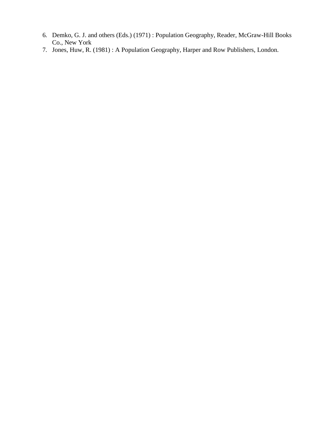- 6. Demko, G. J. and others (Eds.) (1971) : Population Geography, Reader, McGraw-Hill Books Co., New York
- 7. Jones, Huw, R. (1981) : A Population Geography, Harper and Row Publishers, London.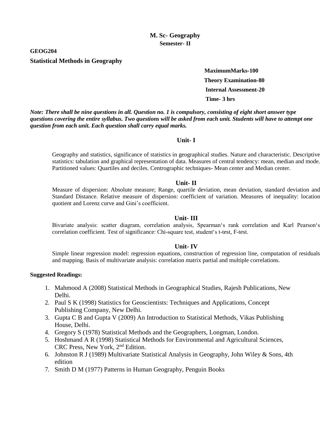**GEOG204**

#### **Statistical Methods in Geography**

 **MaximumMarks-100 Theory Examination-80 Internal Assessment-20 Time- 3 hrs**

*Note: There shall be nine questions in all. Question no. 1 is compulsory, consisting of eight short answer type questions covering the entire syllabus. Two questions will be asked from each unit. Students will have to attempt one question from each unit. Each question shall carry equal marks.*

#### **Unit- I**

Geography and statistics, significance of statistics in geographical studies. Nature and characteristic. Descriptive statistics: tabulation and graphical representation of data. Measures of central tendency: mean, median and mode. Partitioned values: Quartiles and deciles. Centrographic techniques- Mean center and Median center.

#### **Unit- II**

Measure of dispersion: Absolute measure; Range, quartile deviation, mean deviation, standard deviation and Standard Distance. Relative measure of dispersion: coefficient of variation. Measures of inequality: location quotient and Lorenz curve and Gini's coefficient.

#### **Unit- III**

Bivariate analysis: scatter diagram, correlation analysis, Spearman's rank correlation and Karl Pearson's correlation coefficient. Test of significance: Chi-square test, student's t-test, F-test.

#### **Unit- IV**

Simple linear regression model: regression equations, construction of regression line, computation of residuals and mapping. Basis of multivariate analysis: correlation matrix partial and multiple correlations.

- 1. Mahmood A (2008) Statistical Methods in Geographical Studies, Rajesh Publications, New Delhi.
- 2. Paul S K (1998) Statistics for Geoscientists: Techniques and Applications, Concept Publishing Company, New Delhi.
- 3. Gupta C B and Gupta V (2009) An Introduction to Statistical Methods, Vikas Publishing House, Delhi.
- 4. Gregory S (1978) Statistical Methods and the Geographers, Longman, London.
- 5. Hoshmand A R (1998) Statistical Methods for Environmental and Agricultural Sciences, CRC Press, New York, 2<sup>nd</sup> Edition.
- 6. Johnston R J (1989) Multivariate Statistical Analysis in Geography, John Wiley & Sons, 4th edition
- 7. Smith D M (1977) Patterns in Human Geography, Penguin Books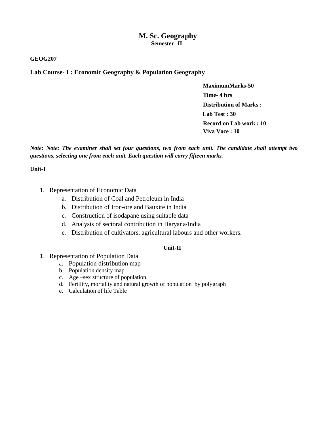#### **GEOG207**

**Lab Course- I : Economic Geography & Population Geography**

 **MaximumMarks-50 Time- 4 hrs Distribution of Marks : Lab Test : 30 Record on Lab work : 10 Viva Voce : 10**

*Note: Note: The examiner shall set four questions, two from each unit. The candidate shall attempt two questions, selecting one from each unit. Each question will carry fifteen marks.*

#### **Unit-I**

- 1. Representation of Economic Data
	- a. Distribution of Coal and Petroleum in India
	- b. Distribution of Iron-ore and Bauxite in India
	- c. Construction of isodapane using suitable data
	- d. Analysis of sectoral contribution in Haryana/India
	- e. Distribution of cultivators, agricultural labours and other workers.

#### **Unit-II**

- 1. Representation of Population Data
	- a. Population distribution map
	- b. Population density map
	- c. Age –sex structure of population
	- d. Fertility, mortality and natural growth of population by polygraph
	- e. Calculation of life Table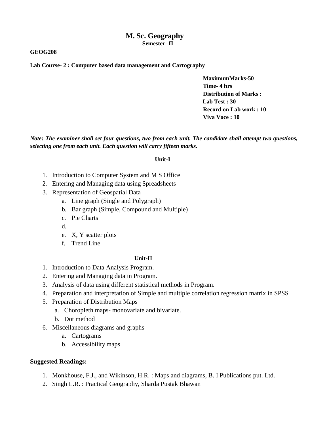#### **GEOG208**

**Lab Course- 2 : Computer based data management and Cartography**

 **MaximumMarks-50 Time- 4 hrs Distribution of Marks : Lab Test : 30 Record on Lab work : 10 Viva Voce : 10**

*Note: The examiner shall set four questions, two from each unit. The candidate shall attempt two questions, selecting one from each unit. Each question will carry fifteen marks.*

#### **Unit-I**

- 1. Introduction to Computer System and M S Office
- 2. Entering and Managing data using Spreadsheets
- 3. Representation of Geospatial Data
	- a. Line graph (Single and Polygraph)
	- b. Bar graph (Simple, Compound and Multiple)
	- c. Pie Charts
	- d.
	- e. X, Y scatter plots
	- f. Trend Line

#### **Unit-II**

- 1. Introduction to Data Analysis Program.
- 2. Entering and Managing data in Program.
- 3. Analysis of data using different statistical methods in Program.
- 4. Preparation and interpretation of Simple and multiple correlation regression matrix in SPSS
- 5. Preparation of Distribution Maps
	- a. Choropleth maps- monovariate and bivariate.
	- b. Dot method
- 6. Miscellaneous diagrams and graphs
	- a. Cartograms
	- b. Accessibility maps

- 1. Monkhouse, F.J., and Wikinson, H.R. : Maps and diagrams, B. I Publications put. Ltd.
- 2. Singh L.R. : Practical Geography, Sharda Pustak Bhawan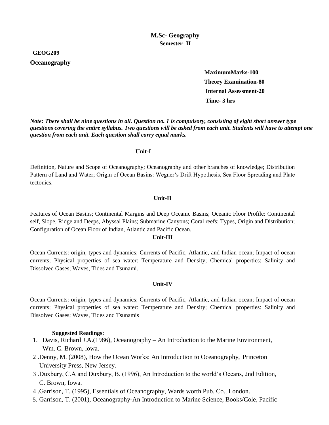#### **GEOG209**

#### **Oceanography**

 **MaximumMarks-100 Theory Examination-80 Internal Assessment-20 Time- 3 hrs**

*Note: There shall be nine questions in all. Question no. 1 is compulsory, consisting of eight short answer type questions covering the entire syllabus. Two questions will be asked from each unit. Students will have to attempt one question from each unit. Each question shall carry equal marks.*

#### **Unit-I**

Definition, Nature and Scope of Oceanography; Oceanography and other branches of knowledge; Distribution Pattern of Land and Water; Origin of Ocean Basins: Wegner's Drift Hypothesis, Sea Floor Spreading and Plate tectonics.

#### **Unit-II**

Features of Ocean Basins; Continental Margins and Deep Oceanic Basins; Oceanic Floor Profile: Continental self, Slope, Ridge and Deeps, Abyssal Plains; Submarine Canyons; Coral reefs: Types, Origin and Distribution; Configuration of Ocean Floor of Indian, Atlantic and Pacific Ocean.

#### **Unit-III**

Ocean Currents: origin, types and dynamics; Currents of Pacific, Atlantic, and Indian ocean; Impact of ocean currents; Physical properties of sea water: Temperature and Density; Chemical properties: Salinity and Dissolved Gases; Waves, Tides and Tsunami.

#### **Unit-IV**

Ocean Currents: origin, types and dynamics; Currents of Pacific, Atlantic, and Indian ocean; Impact of ocean currents; Physical properties of sea water: Temperature and Density; Chemical properties: Salinity and Dissolved Gases; Waves, Tides and Tsunamis

- 1. Davis, Richard J.A.(1986), Oceanography An Introduction to the Marine Environment, Wm. C. Brown, lowa.
- 2 .Denny, M. (2008), How the Ocean Works: An Introduction to Oceanography, Princeton University Press, New Jersey.
- 3 .Duxbury, C.A and Duxbury, B. (1996), An Introduction to the world's Oceans, 2nd Edition, C. Brown, Iowa.
- 4 .Garrison, T. (1995), Essentials of Oceanography, Wards worth Pub. Co., London.
- 5. Garrison, T. (2001), Oceanography-An Introduction to Marine Science, Books/Cole, Pacific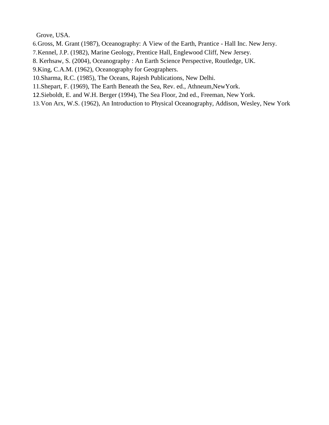Grove, USA.

- 6.Gross, M. Grant (1987), Oceanography: A View of the Earth, Prantice Hall Inc. New Jersy.
- 7.Kennel, J.P. (1982), Marine Geology, Prentice Hall, Englewood Cliff, New Jersey.
- 8. Kerhsaw, S. (2004), Oceanography : An Earth Science Perspective, Routledge, UK.
- 9.King, C.A.M. (1962), Oceanography for Geographers.
- 10.Sharma, R.C. (1985), The Oceans, Rajesh Publications, New Delhi.
- 11.Shepart, F. (1969), The Earth Beneath the Sea, Rev. ed., Athneum,NewYork.
- 12.Sieboldt, E. and W.H. Berger (1994), The Sea Floor, 2nd ed., Freeman, New York.
- 13.Von Arx, W.S. (1962), An Introduction to Physical Oceanography, Addison, Wesley, New York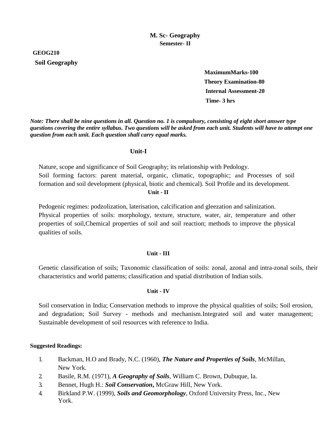# **GEOG210 Soil Geography**

 **MaximumMarks-100 Theory Examination-80 Internal Assessment-20 Time- 3 hrs**

*Note: There shall be nine questions in all. Question no. 1 is compulsory, consisting of eight short answer type questions covering the entire syllabus. Two questions will be asked from each unit. Students will have to attempt one question from each unit. Each question shall carry equal marks.*

#### **Unit-I**

Nature, scope and significance of Soil Geography; its relationship with Pedology. Soil forming factors: parent material, organic, climatic, topographic; and Processes of soil formation and soil development (physical, biotic and chemical). Soil Profile and its development.

#### **Unit - II**

Pedogenic regimes: podzolization, laterisation, calcification and gleezation and salinization. Physical properties of soils: morphology, texture, structure, water, air, temperature and other properties of soil,Chemical properties of soil and soil reaction; methods to improve the physical qualities of soils.

#### **Unit - III**

Genetic classification of soils; Taxonomic classification of soils: zonal, azonal and intra-zonal soils, their characteristics and world patterns; classification and spatial distribution of Indian soils.

#### **Unit - IV**

Soil conservation in India; Conservation methods to improve the physical qualities of soils; Soil erosion, and degradation; Soil Survey - methods and mechanism.Integrated soil and water management; Sustainable development of soil resources with reference to India.

- 1. Backman, H.O and Brady, N.C. (1960), *The Nature and Properties of Soils*, McMillan, New York.
- 2. Basile, R.M. (1971), *A Geography of Soils*, William C. Brown, Dubuque, Ia.
- 3. Bennet, Hugh H.: *Soil Conservation***,** McGraw Hill, New York.
- 4. Birkland P.W. (1999), *Soils and Geomorphology*, Oxford University Press, Inc., New York.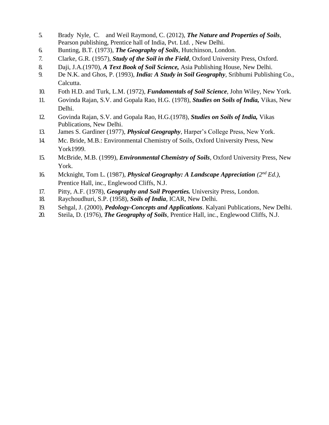- 5. Brady Nyle, C. and Weil Raymond, C. (2012), *The Nature and Properties of Soils*, Pearson publishing, Prentice hall of India, Pvt. Ltd. , New Delhi.
- 6. Bunting, B.T. (1973), *The Geography of Soils*, Hutchinson, London.
- 7. Clarke, G.R. (1957), *Study of the Soil in the Field*, Oxford University Press, Oxford.
- 8. Daji, J.A.(1970), *A Text Book of Soil Science,* Asia Publishing House, New Delhi.
- 9. De N.K. and Ghos, P. (1993), *India: A Study in Soil Geography*, Sribhumi Publishing Co., Calcutta.
- 10. Foth H.D. and Turk, L.M. (1972), *Fundamentals of Soil Science*, John Wiley, New York.
- 11. Govinda Rajan, S.V. and Gopala Rao, H.G. (1978), *Studies on Soils of India,* Vikas, New Delhi.
- 12. Govinda Rajan, S.V. and Gopala Rao, H.G.(1978), *Studies on Soils of India,* Vikas Publications, New Delhi.
- 13. James S. Gardiner (1977), *Physical Geography*, Harper's College Press, New York.
- 14. Mc. Bride, M.B.: Environmental Chemistry of Soils, Oxford University Press, New York1999.
- 15. McBride, M.B. (1999), *Environmental Chemistry of Soils*, Oxford University Press, New York.
- 16. Mcknight, Tom L. (1987), *Physical Geography: A Landscape Appreciation*  $(2^{nd} Ed.)$ , Prentice Hall, inc., Englewood Cliffs, N.J.
- 17. Pitty, A.F. (1978), *Geography and Soil Properties.* University Press, London.
- 18. Raychoudhuri, S.P. (1958), *Soils of India*, ICAR, New Delhi.
- 19. Sehgal, J. (2000), *Pedology-Concepts and Applications*. Kalyani Publications, New Delhi.
- 20. Steila, D. (1976), *The Geography of Soils*, Prentice Hall, inc., Englewood Cliffs, N.J.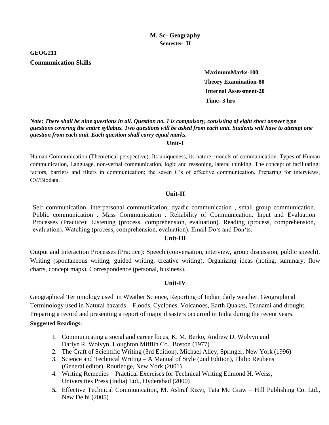# **GEOG211 Communication Skills**

 **MaximumMarks-100 Theory Examination-80 Internal Assessment-20 Time- 3 hrs**

## *Note: There shall be nine questions in all. Question no. 1 is compulsory, consisting of eight short answer type questions covering the entire syllabus. Two questions will be asked from each unit. Students will have to attempt one question from each unit. Each question shall carry equal marks.*

#### **Unit-I**

Human Communication (Theoretical perspective): Its uniqueness, its nature, models of communication. Types of Human communication, Language, non-verbal communication, logic and reasoning, lateral thinking. The concept of facilitating: factors, barriers and filters in communication; the seven C's of effective communication, Preparing for interviews, CV/Biodata.

## **Unit-II**

Self communication, interpersonal communication, dyadic communication , small group communication. Public communication . Mass Communication . Reliability of Communication. Input and Evaluation Processes (Practice): Listening (process, comprehension, evaluation). Reading (process, comprehension, evaluation). Watching (process, comprehension, evaluation). Email Do's and Don'ts.

#### **Unit-III**

Output and Interaction Processes (Practice): Speech (conversation, interview, group discussion, public speech). Writing (spontaneous writing, guided writing, creative writing). Organizing ideas (noting, summary, flow charts, concept maps). Correspondence (personal, business).

#### **Unit-IV**

Geographical Terminology used in Weather Science, Reporting of Indian daily weather. Geographical Terminology used in Natural hazards – Floods, Cyclones, Volcanoes, Earth Quakes, Tsunami and drought. Preparing a record and presenting a report of major disasters occurred in India during the recent years. **Suggested Readings:**

- 1. Communicating a social and career focus, K. M. Berko, Andrew D. Wolvyn and Darlyn R. Wolvyn, Houghton Mifflin Co., Boston (1977)
- 2. The Craft of Scientific Writing (3rd Edition), Michael Alley, Springer, New York (1996)
- 3. Science and Technical Writing A Manual of Style (2nd Edition), Philip Reubens (General editor), Routledge, New York (2001)
- 4. Writing Remedies Practical Exercises for Technical Writing Edmond H. Weiss, Universities Press (India) Ltd., Hyderabad (2000)
- **5.** Effective Technical Communication, M. Ashraf Rizvi, Tata Mc Graw Hill Publishing Co. Ltd., New Delhi (2005)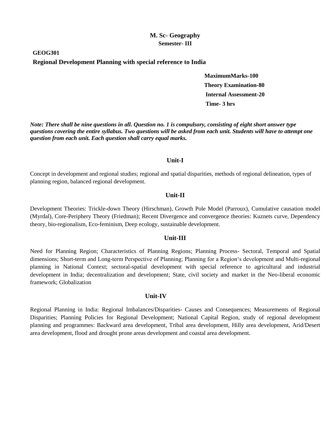# **GEOG301 Regional Development Planning with special reference to India**

 **MaximumMarks-100 Theory Examination-80 Internal Assessment-20 Time- 3 hrs**

*Note: There shall be nine questions in all. Question no. 1 is compulsory, consisting of eight short answer type questions covering the entire syllabus. Two questions will be asked from each unit. Students will have to attempt one question from each unit. Each question shall carry equal marks.*

#### **Unit-I**

Concept in development and regional studies; regional and spatial disparities, methods of regional delineation, types of planning region, balanced regional development.

#### **Unit-II**

Development Theories: Trickle-down Theory (Hirschman), Growth Pole Model (Parroux), Cumulative causation model (Myrdal), Core-Periphery Theory (Friedman); Recent Divergence and convergence theories: Kuznets curve, Dependency theory, bio-regionalism, Eco-feminism, Deep ecology, sustainable development.

#### **Unit-III**

Need for Planning Region; Characteristics of Planning Regions; Planning Process- Sectoral, Temporal and Spatial dimensions; Short-term and Long-term Perspective of Planning; Planning for a Region's development and Multi-regional planning in National Context; sectoral-spatial development with special reference to agricultural and industrial development in India; decentralization and development; State, civil society and market in the Neo-liberal economic framework; Globalization

#### **Unit-IV**

Regional Planning in India: Regional Imbalances/Disparities- Causes and Consequences; Measurements of Regional Disparities; Planning Policies for Regional Development; National Capital Region, study of regional development planning and programmes: Backward area development, Tribal area development, Hilly area development, Arid/Desert area development, flood and drought prone areas development and coastal area development.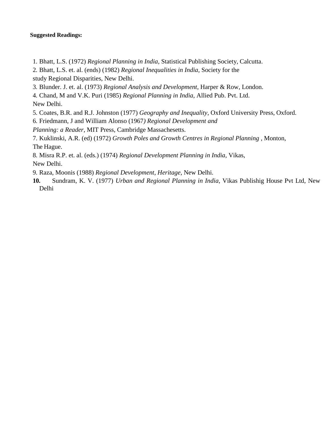#### **Suggested Readings:**

- 1. Bhatt, L.S. (1972) *Regional Planning in India*, Statistical Publishing Society, Calcutta.
- 2. Bhatt, L.S. et. al. (ends) (1982) *Regional Inequalities in India*, Society for the
- study Regional Disparities, New Delhi.
- 3. Blunder. J. et. al. (1973) *Regional Analysis and Development*, Harper & Row, London.
- 4. Chand, M and V.K. Puri (1985) *Regional Planning in India*, Allied Pub. Pvt. Ltd.

New Delhi.

- 5. Coates, B.R. and R.J. Johnston (1977) *Geography and Inequality*, Oxford University Press, Oxford.
- 6. Friedmann, J and William Alonso (1967*) Regional Development and*

*Planning: a Reader*, MIT Press, Cambridge Massachesetts.

- 7. Kuklinski, A.R. (ed) (1972) *Growth Poles and Growth Centres in Regional Planning* , Monton, The Hague.
- 8. Misra R.P. et. al. (eds.) (1974) *Regional Development Planning in India*, Vikas, New Delhi.

9. Raza, Moonis (1988) *Regional Development, Heritage*, New Delhi.

**10.** Sundram, K. V. (1977) *Urban and Regional Planning in India*, Vikas Publishig House Pvt Ltd, New Delhi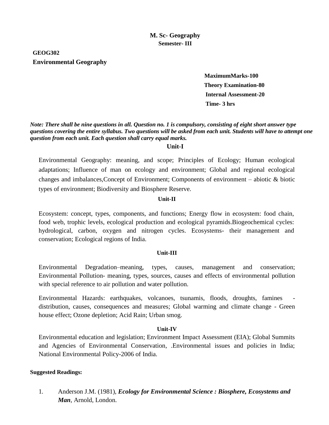# **GEOG302 Environmental Geography**

 **MaximumMarks-100 Theory Examination-80 Internal Assessment-20 Time- 3 hrs**

*Note: There shall be nine questions in all. Question no. 1 is compulsory, consisting of eight short answer type questions covering the entire syllabus. Two questions will be asked from each unit. Students will have to attempt one question from each unit. Each question shall carry equal marks.*

#### **Unit-I**

Environmental Geography: meaning, and scope; Principles of Ecology; Human ecological adaptations; Influence of man on ecology and environment; Global and regional ecological changes and imbalances,Concept of Environment; Components of environment – abiotic & biotic types of environment; Biodiversity and Biosphere Reserve.

#### **Unit-II**

Ecosystem: concept, types, components, and functions; Energy flow in ecosystem: food chain, food web, trophic levels, ecological production and ecological pyramids.Biogeochemical cycles: hydrological, carbon, oxygen and nitrogen cycles. Ecosystems- their management and conservation; Ecological regions of India.

#### **Unit-III**

Environmental Degradation–meaning, types, causes, management and conservation; Environmental Pollution- meaning, types, sources, causes and effects of environmental pollution with special reference to air pollution and water pollution.

Environmental Hazards: earthquakes, volcanoes, tsunamis, floods, droughts, famines distribution, causes, consequences and measures; Global warming and climate change - Green house effect; Ozone depletion; Acid Rain; Urban smog.

#### **Unit-IV**

Environmental education and legislation; Environment Impact Assessment (EIA); Global Summits and Agencies of Environmental Conservation, .Environmental issues and policies in India; National Environmental Policy-2006 of India.

#### **Suggested Readings:**

1. Anderson J.M. (1981), *Ecology for Environmental Science : Biosphere, Ecosystems and Man*, Arnold, London.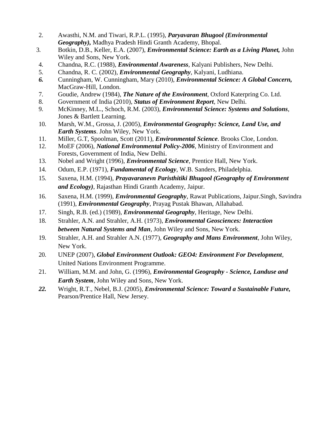- 2. Awasthi, N.M. and Tiwari, R.P.L. (1995), *Paryavaran Bhugool (Environmental Geography),* Madhya Pradesh Hindi Granth Academy, Bhopal.
- 3. Botkin, D.B., Keller, E.A. (2007), *Environmental Science: Earth as a Living Planet,* John Wiley and Sons, New York.
- 4. Chandna, R.C. (1988), *Environmental Awareness*, Kalyani Publishers, New Delhi.
- 5. Chandna, R. C. (2002), *Environmental Geography*, Kalyani, Ludhiana.
- *6.* Cunningham, W. Cunningham, Mary (2010), *Environmental Science: A Global Concern,* MacGraw-Hill, London.
- 7. Goudie, Andrew (1984), *The Nature of the Environment*, Oxford Katerpring Co. Ltd.
- 8. Government of India (2010), *Status of Environment Report*, New Delhi.
- 9. McKinney, M.L., Schoch, R.M. (2003), *Environmental Science: Systems and Solutions*, Jones & Bartlett Learning.
- 10. Marsh, W.M., Grossa, J. (2005), *Environmental Geography: Science, Land Use, and Earth Systems*. John Wiley, New York.
- 11. Miller, G.T, Spoolman, Scott (2011), *Environmental Science*. Brooks Cloe, London.
- 12. MoEF (2006), *National Environmental Policy-2006*, Ministry of Environment and Forests, Government of India, New Delhi.
- 13. Nobel and Wright (1996), *Environmental Science*, Prentice Hall, New York.
- 14. Odum, E.P. (1971), *Fundamental of Ecology*, W.B. Sanders, Philadelphia.
- 15. Saxena, H.M. (1994), *Prayavaranevn Paristhitiki Bhugool (Geography of Environment and Ecology)*, Rajasthan Hindi Granth Academy, Jaipur.
- 16. Saxena, H.M. (1999), *Environmental Geography*, Rawat Publications, Jaipur.Singh, Savindra (1991), *Environmental Geography*, Prayag Pustak Bhawan, Allahabad.
- 17. Singh, R.B. (ed.) (1989), *Environmental Geography*, Heritage, New Delhi.
- 18. Strahler, A.N. and Strahler, A.H. (1973), *Environmental Geosciences: Interaction between Natural Systems and Man*, John Wiley and Sons, New York.
- 19. Strahler, A.H. and Strahler A.N. (1977), *Geography and Mans Environment*, John Wiley, New York.
- 20. UNEP (2007), *Global Environment Outlook: GEO4: Environment For Development*, United Nations Environment Programme.
- 21. William, M.M. and John, G. (1996), *Environmental Geography - Science, Landuse and Earth System*, John Wiley and Sons, New York.
- *22.* Wright, R.T., Nebel, B.J. (2005), *Environmental Science: Toward a Sustainable Future,* Pearson/Prentice Hall, New Jersey.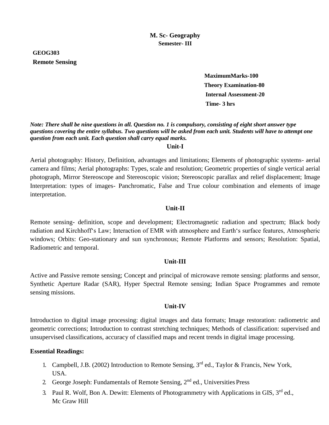# **GEOG303 Remote Sensing**

 **MaximumMarks-100 Theory Examination-80 Internal Assessment-20 Time- 3 hrs**

*Note: There shall be nine questions in all. Question no. 1 is compulsory, consisting of eight short answer type questions covering the entire syllabus. Two questions will be asked from each unit. Students will have to attempt one question from each unit. Each question shall carry equal marks.*

#### **Unit-I**

Aerial photography: History, Definition, advantages and limitations; Elements of photographic systems- aerial camera and films; Aerial photographs: Types, scale and resolution; Geometric properties of single vertical aerial photograph, Mirror Stereoscope and Stereoscopic vision; Stereoscopic parallax and relief displacement; Image Interpretation: types of images- Panchromatic, False and True colour combination and elements of image interpretation.

# **Unit-II**

Remote sensing- definition, scope and development; Electromagnetic radiation and spectrum; Black body radiation and Kirchhoff's Law; Interaction of EMR with atmosphere and Earth's surface features, Atmospheric windows; Orbits: Geo-stationary and sun synchronous; Remote Platforms and sensors; Resolution: Spatial, Radiometric and temporal.

#### **Unit-III**

Active and Passive remote sensing; Concept and principal of microwave remote sensing: platforms and sensor, Synthetic Aperture Radar (SAR), Hyper Spectral Remote sensing; Indian Space Programmes and remote sensing missions.

#### **Unit-IV**

Introduction to digital image processing: digital images and data formats; Image restoration: radiometric and geometric corrections; Introduction to contrast stretching techniques; Methods of classification: supervised and unsupervised classifications, accuracy of classified maps and recent trends in digital image processing.

# **Essential Readings:**

- 1. Campbell, J.B. (2002) Introduction to Remote Sensing,  $3<sup>rd</sup>$  ed., Taylor & Francis, New York, USA.
- 2. George Joseph: Fundamentals of Remote Sensing, 2<sup>nd</sup> ed., Universities Press
- 3. Paul R. Wolf, Bon A. Dewitt: Elements of Photogrammetry with Applications in GIS,  $3^{rd}$  ed., Mc Graw Hill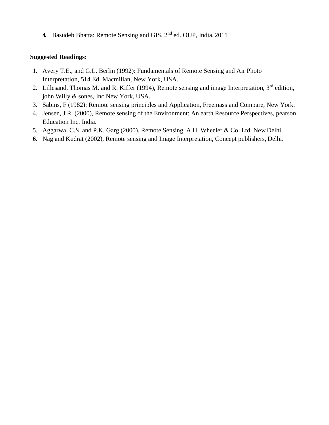**4.** Basudeb Bhatta: Remote Sensing and GIS, 2nd ed. OUP, India, 2011

- 1. Avery T.E., and G.L. Berlin (1992): Fundamentals of Remote Sensing and Air Photo Interpretation, 514 Ed. Macmillan, New York, USA.
- 2. Lillesand, Thomas M. and R. Kiffer (1994), Remote sensing and image Interpretation, 3<sup>rd</sup> edition, john Willy & sones, Inc New York, USA.
- 3. Sabins, F (1982): Remote sensing principles and Application, Freemass and Compare, New York.
- 4. Jensen, J.R. (2000), Remote sensing of the Environment: An earth Resource Perspectives, pearson Education Inc. India.
- 5. Aggarwal C.S. and P.K. Garg (2000). Remote Sensing, A.H. Wheeler & Co. Ltd, New Delhi.
- **6.** Nag and Kudrat (2002), Remote sensing and Image Interpretation, Concept publishers, Delhi.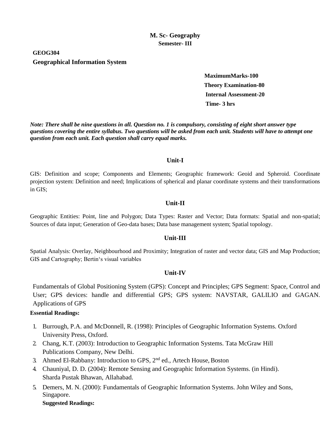# **GEOG304 Geographical Information System**

 **MaximumMarks-100 Theory Examination-80 Internal Assessment-20 Time- 3 hrs**

*Note: There shall be nine questions in all. Question no. 1 is compulsory, consisting of eight short answer type questions covering the entire syllabus. Two questions will be asked from each unit. Students will have to attempt one question from each unit. Each question shall carry equal marks.*

#### **Unit-I**

GIS: Definition and scope; Components and Elements; Geographic framework: Geoid and Spheroid. Coordinate projection system: Definition and need; Implications of spherical and planar coordinate systems and their transformations in GIS;

#### **Unit-II**

Geographic Entities: Point, line and Polygon; Data Types: Raster and Vector; Data formats: Spatial and non-spatial; Sources of data input; Generation of Geo-data bases; Data base management system; Spatial topology.

#### **Unit-III**

Spatial Analysis: Overlay, Neighbourhood and Proximity; Integration of raster and vector data; GIS and Map Production; GIS and Cartography; Bertin's visual variables

#### **Unit-IV**

Fundamentals of Global Positioning System (GPS): Concept and Principles; GPS Segment: Space, Control and User; GPS devices: handle and differential GPS; GPS system: NAVSTAR, GALILIO and GAGAN. Applications of GPS

#### **Essential Readings:**

- 1. Burrough, P.A. and McDonnell, R. (1998): Principles of Geographic Information Systems. Oxford University Press, Oxford.
- 2. Chang, K.T. (2003): Introduction to Geographic Information Systems. Tata McGraw Hill Publications Company, New Delhi.
- 3. Ahmed El-Rabbany: Introduction to GPS, 2<sup>nd</sup> ed., Artech House, Boston
- 4. Chauniyal, D. D. (2004): Remote Sensing and Geographic Information Systems. (in Hindi). Sharda Pustak Bhawan, Allahabad.
- 5. Demers, M. N. (2000): Fundamentals of Geographic Information Systems. John Wiley and Sons, Singapore.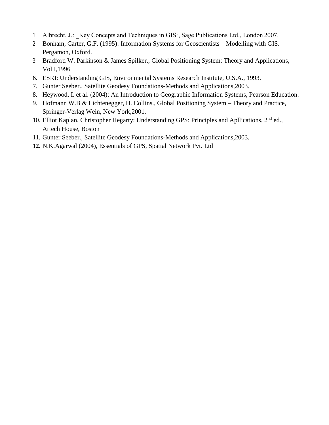- 1. Albrecht, J.: \_Key Concepts and Techniques in GIS', Sage Publications Ltd., London 2007.
- 2. Bonham, Carter, G.F. (1995): Information Systems for Geoscientists Modelling with GIS. Pergamon, Oxford.
- 3. Bradford W. Parkinson & James Spilker., Global Positioning System: Theory and Applications, Vol I,1996
- 6. ESRI: Understanding GIS, Environmental Systems Research Institute, U.S.A., 1993.
- 7. Gunter Seeber., Satellite Geodesy Foundations-Methods and Applications,2003.
- 8. Heywood, I. et al. (2004): An Introduction to Geographic Information Systems, Pearson Education.
- 9. Hofmann W.B & Lichtenegger, H. Collins., Global Positioning System Theory and Practice, Springer-Verlag Wein, New York,2001.
- 10. Elliot Kaplan, Christopher Hegarty; Understanding GPS: Principles and Apllications, 2<sup>nd</sup> ed., Artech House, Boston
- 11. Gunter Seeber., Satellite Geodesy Foundations-Methods and Applications,2003.
- **12.** N.K.Agarwal (2004), Essentials of GPS, Spatial Network Pvt. Ltd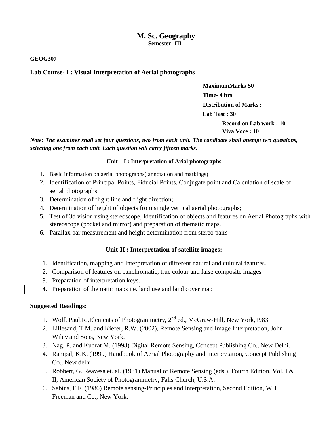#### **GEOG307**

### **Lab Course- I : Visual Interpretation of Aerial photographs**

 **MaximumMarks-50 Time- 4 hrs Distribution of Marks : Lab Test : 30** 

 **Record on Lab work : 10 Viva Voce : 10**

*Note: The examiner shall set four questions, two from each unit. The candidate shall attempt two questions, selecting one from each unit. Each question will carry fifteen marks.*

#### **Unit – I : Interpretation of Arial photographs**

- 1. Basic information on aerial photographs( annotation and markings)
- 2. Identification of Principal Points, Fiducial Points, Conjugate point and Calculation of scale of aerial photographs
- 3. Determination of flight line and flight direction;
- 4. Determination of height of objects from single vertical aerial photographs;
- 5. Test of 3d vision using stereoscope, Identification of objects and features on Aerial Photographs with stereoscope (pocket and mirror) and preparation of thematic maps.
- 6. Parallax bar measurement and height determination from stereo pairs

#### **Unit-II : Interpretation of satellite images:**

- 1. Identification, mapping and Interpretation of different natural and cultural features.
- 2. Comparison of features on panchromatic, true colour and false composite images
- 3. Preparation of interpretation keys.
- **4.** Preparation of thematic maps i.e. land use and land cover map

- 1. Wolf, Paul.R., Elements of Photogrammetry,  $2<sup>nd</sup>$  ed., McGraw-Hill, New York, 1983
- 2. Lillesand, T.M. and Kiefer, R.W. (2002), Remote Sensing and Image Interpretation, John Wiley and Sons, New York.
- 3. Nag. P. and Kudrat M. (1998) Digital Remote Sensing, Concept Publishing Co., New Delhi.
- 4. Rampal, K.K. (1999) Handbook of Aerial Photography and Interpretation, Concept Publishing Co., New delhi.
- 5. Robbert, G. Reavesa et. al. (1981) Manual of Remote Sensing (eds.), Fourth Edition, Vol. I & II, American Society of Photogrammetry, Falls Church, U.S.A.
- 6. Sabins, F.F. (1986) Remote sensing-Principles and Interpretation, Second Edition, WH Freeman and Co., New York.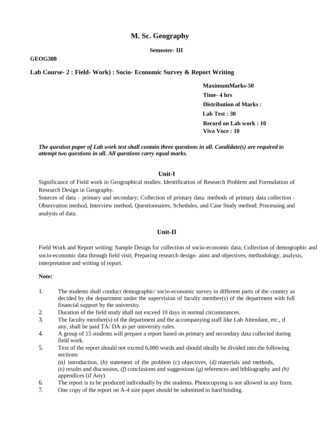# **M. Sc. Geography**

#### **Semester- III**

#### **GEOG308**

#### **Lab Course- 2 : Field- Work) : Socio- Economic Survey & Report Writing**

 **MaximumMarks-50 Time- 4 hrs Distribution of Marks : Lab Test : 30 Record on Lab work : 10 Viva Voce : 10**

*The question paper of Lab work test shall contain three questions in all. Candidate(s) are required to attempt two questions in all. All questions carry equal marks.*

#### **Unit-I**

Significance of Field work in Geographical studies: Identification of Research Problem and Formulation of Research Design in Geography.

Sources of data – primary and secondary; Collection of primary data: methods of primary data collection - Observation method, Interview method, Questionnaires, Schedules, and Case Study method; Processing and analysis of data.

#### **Unit-II**

Field Work and Report writing: Sample Design for collection of socio-economic data; Collection of demographic and socio-economic data through field visit; Preparing research design- aims and objectives, methodology, analysis, interpretation and writing of report.

#### **Note:**

- 1. The students shall conduct demographic/ socio-economic survey in different parts of the country as decided by the department under the supervision of faculty member(s) of the department with full financial support by the university.
- 2. Duration of the field study shall not exceed 10 days in normal circumstances.
- 3. The faculty member(s) of the department and the accompanying staff like Lab Attendant, etc., if any, shall be paid TA/ DA as per university rules.
- 4. A group of 15 students will prepare a report based on primary and secondary data collected during field work.
- 5. Text of the report should not exceed 6,000 words and should ideally be divided into the following sections:

*(a)* introduction, (*b)* statement of the problem (c) objectives, (d*)* materials and methods, *(e)* results and discussion, *(f)* conclusions and suggestions (*g)* references and bibliography and *(h)*  appendices (if Any).

- 6. The report is to be produced individually by the students. Photocopying is not allowed in any form.
- 7. One copy of the report on A-4 size paper should be submitted in hard binding.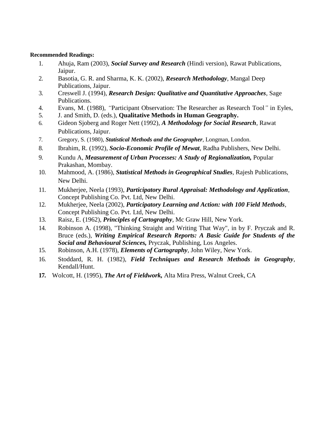- 1. Ahuja, Ram (2003), *Social Survey and Research* (Hindi version), Rawat Publications, Jaipur.
- 2. Basotia, G. R. and Sharma, K. K. (2002), *Research Methodology*, Mangal Deep Publications, Jaipur.
- 3. Creswell J. (1994), *Research Design: Qualitative and Quantitative Approaches*, Sage Publications.
- 4. Evans, M. (1988), *"*Participant Observation: The Researcher as Research Tool*"* in Eyles,
- 5. J. and Smith, D. (eds.), **Qualitative Methods in Human Geography.**
- 6. Gideon Sjoberg and Roger Nett (1992), *A Methodology for Social Research*, Rawat Publications, Jaipur.
- 7. Gregory, S. (1980), *Statistical Methods and the Geographer*, Longman, London.
- 8. Ibrahim, R. (1992), *Socio-Economic Profile of Mewat*, Radha Publishers, New Delhi.
- 9. Kundu A, *Measurement of Urban Processes: A Study of Regionalization,* Popular Prakashan, Mombay.
- 10. Mahmood, A. (1986), *Statistical Methods in Geographical Studies*, Rajesh Publications, New Delhi.
- 11. Mukherjee, Neela (1993), *Participatory Rural Appraisal: Methodology and Application*, Concept Publishing Co. Pvt. Ltd, New Delhi.
- 12. Mukherjee, Neela (2002), *Participatory Learning and Action: with 100 Field Methods*, Concept Publishing Co. Pvt. Ltd, New Delhi.
- 13. Raisz, E. (1962), *Principles of Cartography*, Mc Graw Hill, New York.
- 14. Robinson A. (1998), "Thinking Straight and Writing That Way", in by F. Pryczak and R. Bruce (eds.), *Writing Empirical Research Reports: A Basic Guide for Students of the Social and Behavioural Sciences,* Pryczak, Publishing, Los Angeles.
- 15. Robinson, A.H. (1978), *Elements of Cartography*, John Wiley, New York.
- 16. Stoddard, R. H. (1982), *Field Techniques and Research Methods in Geography*, Kendall/Hunt.
- **17.** Wolcott, H. (1995), *The Art of Fieldwork,* Alta Mira Press, Walnut Creek, CA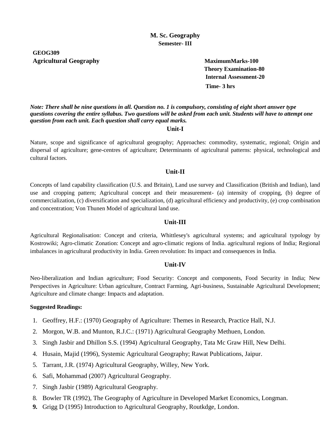# **GEOG309 Agricultural Geography MaximumMarks-100**

**Theory Examination-80 Internal Assessment-20 Time- 3 hrs**

*Note: There shall be nine questions in all. Question no. 1 is compulsory, consisting of eight short answer type questions covering the entire syllabus. Two questions will be asked from each unit. Students will have to attempt one question from each unit. Each question shall carry equal marks.*

#### **Unit-I**

Nature, scope and significance of agricultural geography; Approaches: commodity, systematic, regional; Origin and dispersal of agriculture; gene-centres of agriculture; Determinants of agricultural patterns: physical, technological and cultural factors.

#### **Unit-II**

Concepts of land capability classification (U.S. and Britain), Land use survey and Classification (British and Indian), land use and cropping pattern; Agricultural concept and their measurement- (a) intensity of cropping, (b) degree of commercialization, (c) diversification and specialization, (d) agricultural efficiency and productivity, (e) crop combination and concentration; Von Thunen Model of agricultural land use.

#### **Unit-III**

Agricultural Regionalisation: Concept and criteria, Whittlesey's agricultural systems; and agricultural typology by Kostrowiki; Agro-climatic Zonation: Concept and agro-climatic regions of India. agricultural regions of India; Regional imbalances in agricultural productivity in India. Green revolution: Its impact and consequences in India.

#### **Unit-IV**

Neo-liberalization and Indian agriculture; Food Security: Concept and components, Food Security in India; New Perspectives in Agriculture: Urban agriculture, Contract Farming, Agri-business, Sustainable Agricultural Development; Agriculture and climate change: Impacts and adaptation.

- 1. Geoffrey, H.F.: (1970) Geography of Agriculture: Themes in Research, Practice Hall, N.J.
- 2. Morgon, W.B. and Munton, R.J.C.: (1971) Agricultural Geography Methuen, London.
- 3. Singh Jasbir and Dhillon S.S. (1994) Agricultural Geography, Tata Mc Graw Hill, New Delhi.
- 4. Husain, Majid (1996), Systemic Agricultural Geography; Rawat Publications, Jaipur.
- 5. Tarrant, J.R. (1974) Agricultural Geography, Willey, New York.
- 6. Safi, Mohammad (2007) Agricultural Geography.
- 7. Singh Jasbir (1989) Agricultural Geography.
- 8. Bowler TR (1992), The Geography of Agriculture in Developed Market Economics, Longman.
- **9.** Grigg D (1995) Introduction to Agricultural Geography, Routkdge, London.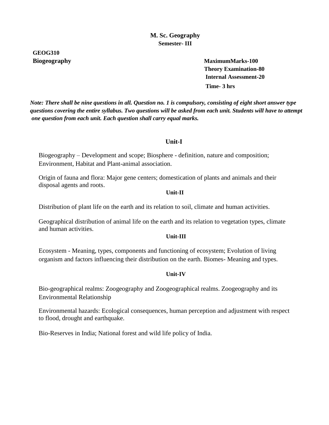# **GEOG310**

**Biogeography MaximumMarks-100 Theory Examination-80 Internal Assessment-20 Time- 3 hrs**

*Note: There shall be nine questions in all. Question no. 1 is compulsory, consisting of eight short answer type questions covering the entire syllabus. Two questions will be asked from each unit. Students will have to attempt one question from each unit. Each question shall carry equal marks.*

# **Unit-I**

Biogeography – Development and scope; Biosphere - definition, nature and composition; Environment, Habitat and Plant-animal association.

Origin of fauna and flora: Major gene centers; domestication of plants and animals and their disposal agents and roots.

#### *Unit-II*

Distribution of plant life on the earth and its relation to soil, climate and human activities.

Geographical distribution of animal life on the earth and its relation to vegetation types, climate and human activities.

#### **Unit-III**

Ecosystem - Meaning, types, components and functioning of ecosystem; Evolution of living organism and factors influencing their distribution on the earth. Biomes- Meaning and types.

#### **Unit-IV**

Bio-geographical realms: Zoogeography and Zoogeographical realms. Zoogeography and its Environmental Relationship

Environmental hazards: Ecological consequences, human perception and adjustment with respect to flood, drought and earthquake.

Bio-Reserves in India; National forest and wild life policy of India.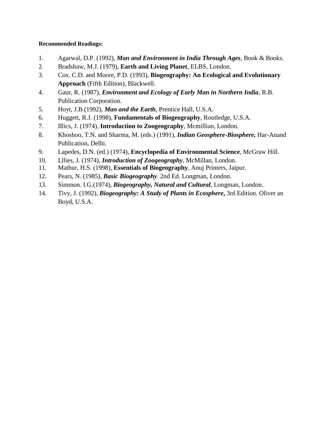- 1. Agarwal, D.P. (1992), *Man and Environment in India Through Ages*, Book & Books.
- 2. Bradshaw, M.J. (1979), **Earth and Living Planet**, ELBS, London.
- 3. Cox. C.D. and Moore, P.D. (1993), **Biogeography: An Ecological and Evolutionary Approach** (Fifth Edition), Blackwell.
- 4. Gaur, R. (1987), *Environment and Ecology of Early Man in Northern India*, R.B. Publication Corporation.
- 5. Hoyt, J.B.(1992), *Man and the Earth*, Prentice Hall, U.S.A.
- 6. Huggett, R.J. (1998), **Fundamentals of Biogeography**, Routledge, U.S.A.
- 7. Illics, J. (1974), **Introduction to Zoogeography**, Mcmillian, London.
- 8. Khoshoo, T.N. and Sharma, M. (eds.) (1991), *Indian Geosphere-Biosphere,* Har-Anand Publication, Delhi.
- 9. Lapedes, D.N. (ed.) (1974), **Encyclopedia of Environmental Science**, McGraw Hill.
- 10. Lllies, J. (1974), *Introduction of Zoogeography*, McMillan, London.
- 11. Mathur, H.S. (1998), **Essentials of Biogeography**, Anuj Printers, Jaipur.
- 12. Pears, N. (1985), *Basic Biogeography*. 2nd Ed. Longman, London.
- 13. Simmon. I.G.(1974), *Biogeography, Natural and Cultural*, Longman, London.
- 14. Tivy, J. (1992), *Biogeography: A Study of Plants in Ecosphere***,** 3rd Edition. Oliver an Boyd, U.S.A.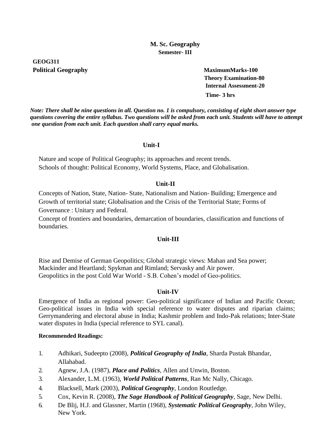# **GEOG311 Political Geography MaximumMarks-100**

**Theory Examination-80 Internal Assessment-20 Time- 3 hrs**

*Note: There shall be nine questions in all. Question no. 1 is compulsory, consisting of eight short answer type questions covering the entire syllabus. Two questions will be asked from each unit. Students will have to attempt one question from each unit. Each question shall carry equal marks.*

#### **Unit-I**

Nature and scope of Political Geography; its approaches and recent trends. Schools of thought: Political Economy, World Systems, Place, and Globalisation.

#### **Unit-II**

Concepts of Nation, State, Nation- State, Nationalism and Nation- Building; Emergence and Growth of territorial state; Globalisation and the Crisis of the Territorial State; Forms of Governance : Unitary and Federal.

Concept of frontiers and boundaries, demarcation of boundaries, classification and functions of boundaries.

# **Unit-III**

Rise and Demise of German Geopolitics; Global strategic views: Mahan and Sea power; Mackinder and Heartland; Spykman and Rimland; Servasky and Air power. Geopolitics in the post Cold War World - S.B. Cohen's model of Geo-politics.

# **Unit-IV**

Emergence of India as regional power: Geo-political significance of Indian and Pacific Ocean; Geo-political issues in India with special reference to water disputes and riparian claims; Gerrymandering and electoral abuse in India; Kashmir problem and Indo-Pak relations; Inter-State water disputes in India (special reference to SYL canal).

- 1. Adhikari, Sudeepto (2008), *Political Geography of India*, Sharda Pustak Bhandar, Allahabad.
- 2. Agnew, J.A. (1987), *Place and Politics*, Allen and Unwin, Boston.
- 3. Alexander, L.M. (1963), *World Political Patterns*, Ran Mc Nally, Chicago.
- 4. Blacksell, Mark (2003), *Political Geography*, London Routledge.
- 5. Cox, Kevin R. (2008), *The Sage Handbook of Political Geography*, Sage, New Delhi.
- 6. De Blij, H.J. and Glassner, Martin (1968), *Systematic Political Geography*, John Wiley, New York.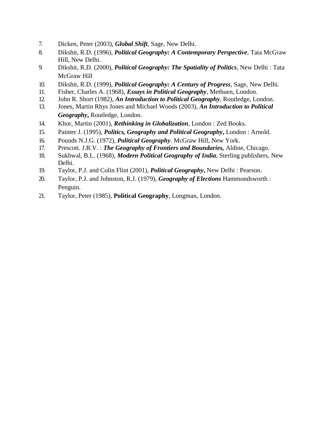- 7. Dicken, Peter (2003), *Global Shift*, Sage, New Delhi.
- 8. Dikshit, R.D. (1996), *Political Geography: A Contemporary Perspective*, Tata McGraw Hill, New Delhi.
- 9. Dikshit, R.D. (2000), *Political Geography: The Spatiality of Politics*, New Delhi : Tata McGraw Hill
- 10. Dikshit, R.D. (1999), *Political Geography: A Century of Progress*, Sage, New Delhi.
- 11. Fisher, Charles A. (1968), *Essays in Political Geography*, Methuen, London.
- 12. John R. Short (1982), *An Introduction to Political Geography*, Routledge, London.
- 13. Jones, Martin Rhys Jones and Michael Woods (2003), *An Introduction to Political Geography***,** Routledge, London.
- 14. Khor, Martin (2001), *Rethinking in Globalization*, London : Zed Books.
- 15. Painter J. (1995), *Politics, Geography and Political Geography***,** London : Arnold.
- 16. Pounds N.J.G. (1972), *Political Geography*. McGraw Hill, New York.
- 17. Prescott. J.R.V. : *The Geography of Frontiers and Boundaries,* Aldine, Chicago.
- 18. Sukhwal, B.L. (1968), *Modern Political Geography of India*, Sterling publishers, New Delhi.
- 19. Taylor, P.J. and Colin Flint (2001), *Political Geography***,** New Delhi : Pearson.
- 20. Taylor, P.J. and Johnston, R.J. (1979), *Geography of Elections* Hammondsworth : Penguin.
- 21. Taylor, Peter (1985), **Political Geography**, Longman, London.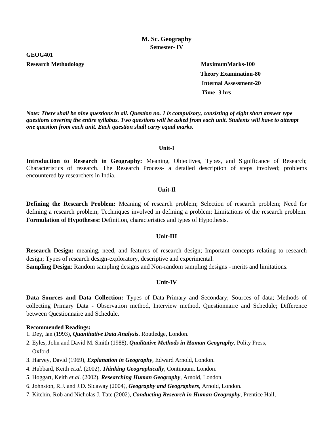#### **GEOG401**

#### **Research Methodology** MaximumMarks-100

**Theory Examination-80 Internal Assessment-20 Time- 3 hrs**

*Note: There shall be nine questions in all. Question no. 1 is compulsory, consisting of eight short answer type questions covering the entire syllabus. Two questions will be asked from each unit. Students will have to attempt one question from each unit. Each question shall carry equal marks.*

#### **Unit-I**

**Introduction to Research in Geography:** Meaning, Objectives, Types, and Significance of Research; Characteristics of research. The Research Process- a detailed description of steps involved; problems encountered by researchers in India.

#### **Unit-Il**

**Defining the Research Problem:** Meaning of research problem; Selection of research problem; Need for defining a research problem; Techniques involved in defining a problem; Limitations of the research problem. **Formulation of Hypotheses:** Definition, characteristics and types of Hypothesis.

#### **Unit-III**

**Research Design:** meaning, need, and features of research design; Important concepts relating to research design; Types of research design-exploratory, descriptive and experimental. **Sampling Design**: Random sampling designs and Non-random sampling designs - merits and limitations.

#### **Unit-IV**

**Data Sources and Data Collection:** Types of Data-Primary and Secondary; Sources of data; Methods of collecting Primary Data - Observation method, Interview method, Questionnaire and Schedule; Difference between Questionnaire and Schedule.

- 1. Dey, Ian (1993), *Quantitative Data Analysis*, Routledge, London.
- 2. Eyles, John and David M. Smith (1988), *Qualitative Methods in Human Geography,* Polity Press, Oxford.
- 3. Harvey, David (1969), *Explanation in Geography*, Edward Arnold, London.
- 4. Hubbard, Keith *et.al*. (2002), *Thinking Geographically*, Continuum, London.
- 5. Hoggart, Keith *et.al.* (2002), *Researching Human Geography*, Arnold, London.
- 6. Johnston, R.J. and J.D. Sidaway (2004*), Geography and Geographers*, Arnold, London.
- 7. Kitchin, Rob and Nicholas J. Tate (2002), *Conducting Research in Human Geography,* Prentice Hall,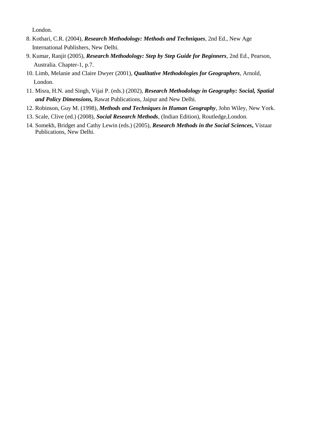London.

- 8. Kothari, C.R. (2004), *Research Methodology: Methods and Techniques*, 2nd Ed., New Age International Publishers, New Delhi.
- 9. Kumar, Ranjit (2005), *Research Methodology: Step by Step Guide for Beginners*, 2nd Ed., Pearson, Australia. Chapter-1, p.7.
- 10. Limb, Melanie and Claire Dwyer (2001), *Qualitative Methodologies for Geographers,* Arnold, London.
- 11. Misra, H.N. and Singh, Vijai P. (eds.) (2002), *Research Methodology in Geography: Social, Spatial and Policy Dimensions,* Rawat Publications, Jaipur and New Delhi.
- 12. Robinson, Guy M. (1998), *Methods and Techniques in Human Geography*, John Wiley, New York.
- 13. Scale, Clive (ed.) (2008), *Social Research Methods*, (Indian Edition), Routledge,London.
- 14. Somekh, Bridget and Cathy Lewin (eds.) (2005), *Research Methods in the Social Sciences***,** Vistaar Publications, New Delhi.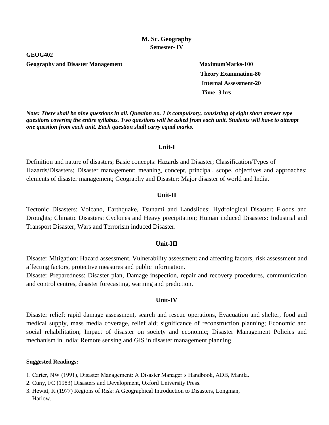**GEOG402**

Geography and Disaster Management MaximumMarks-100

**Theory Examination-80 Internal Assessment-20 Time- 3 hrs**

*Note: There shall be nine questions in all. Question no. 1 is compulsory, consisting of eight short answer type questions covering the entire syllabus. Two questions will be asked from each unit. Students will have to attempt one question from each unit. Each question shall carry equal marks.*

#### **Unit-I**

Definition and nature of disasters; Basic concepts: Hazards and Disaster; Classification/Types of Hazards/Disasters; Disaster management: meaning, concept, principal, scope, objectives and approaches; elements of disaster management; Geography and Disaster: Major disaster of world and India.

#### **Unit-II**

Tectonic Disasters: Volcano, Earthquake, Tsunami and Landslides; Hydrological Disaster: Floods and Droughts; Climatic Disasters: Cyclones and Heavy precipitation; Human induced Disasters: Industrial and Transport Disaster; Wars and Terrorism induced Disaster.

#### **Unit-III**

Disaster Mitigation: Hazard assessment, Vulnerability assessment and affecting factors, risk assessment and affecting factors, protective measures and public information.

Disaster Preparedness: Disaster plan, Damage inspection, repair and recovery procedures, communication and control centres, disaster forecasting, warning and prediction.

#### **Unit-IV**

Disaster relief: rapid damage assessment, search and rescue operations, Evacuation and shelter, food and medical supply, mass media coverage, relief aid; significance of reconstruction planning; Economic and social rehabilitation; Impact of disaster on society and economic; Disaster Management Policies and mechanism in India; Remote sensing and GIS in disaster management planning.

- 1. Carter, NW (1991), Disaster Management: A Disaster Manager's Handbook, ADB, Manila.
- 2. Cuny, FC (1983) Disasters and Development, Oxford University Press.
- 3. Hewitt, K (1977) Regions of Risk: A Geographical Introduction to Disasters, Longman, Harlow.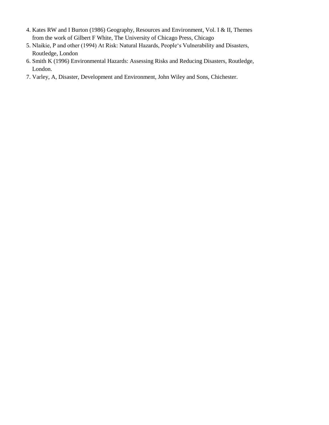- 4. Kates RW and I Burton (1986) Geography, Resources and Environment, Vol. I & II, Themes from the work of Gilbert F White, The University of Chicago Press, Chicago
- 5. Nlaikie, P and other (1994) At Risk: Natural Hazards, People's Vulnerability and Disasters, Routledge, London
- 6. Smith K (1996) Environmental Hazards: Assessing Risks and Reducing Disasters, Routledge, London.
- 7. Varley, A, Disaster, Development and Environment, John Wiley and Sons, Chichester.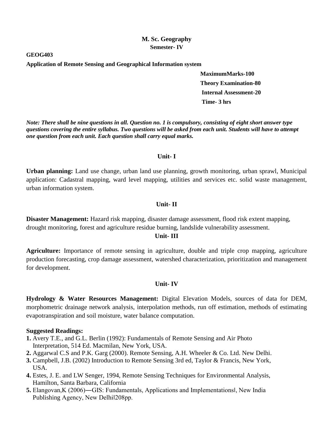**GEOG403**

**Application of Remote Sensing and Geographical Information system**

**MaximumMarks-100 Theory Examination-80 Internal Assessment-20 Time- 3 hrs**

*Note: There shall be nine questions in all. Question no. 1 is compulsory, consisting of eight short answer type questions covering the entire syllabus. Two questions will be asked from each unit. Students will have to attempt one question from each unit. Each question shall carry equal marks.*

#### **Unit- I**

**Urban planning:** Land use change, urban land use planning, growth monitoring, urban sprawl, Municipal application: Cadastral mapping, ward level mapping, utilities and services etc. solid waste management, urban information system.

## **Unit- II**

**Disaster Management:** Hazard risk mapping, disaster damage assessment, flood risk extent mapping, drought monitoring, forest and agriculture residue burning, landslide vulnerability assessment.

# **Unit- III**

**Agriculture:** Importance of remote sensing in agriculture, double and triple crop mapping, agriculture production forecasting, crop damage assessment, watershed characterization, prioritization and management for development.

#### **Unit- IV**

**Hydrology & Water Resources Management:** Digital Elevation Models, sources of data for DEM, morphometric drainage network analysis, interpolation methods, run off estimation, methods of estimating evapotranspiration and soil moisture, water balance computation.

- **1.** Avery T.E., and G.L. Berlin (1992): Fundamentals of Remote Sensing and Air Photo Interpretation, 514 Ed. Macmilan, New York, USA.
- **2.** Aggarwal C.S and P.K. Garg (2000). Remote Sensing, A.H. Wheeler & Co. Ltd. New Delhi.
- **3.** Campbell, J.B. (2002) Introduction to Remote Sensing 3rd ed, Taylor & Francis, New York, USA.
- **4.** Estes, J. E. and LW Senger, 1994, Remote Sensing Techniques for Environmental Analysis, Hamilton, Santa Barbara, California
- **5.** Elangovan,K (2006)―GIS: Fundamentals, Applications and Implementations‖, New India Publishing Agency, New Delhil208pp.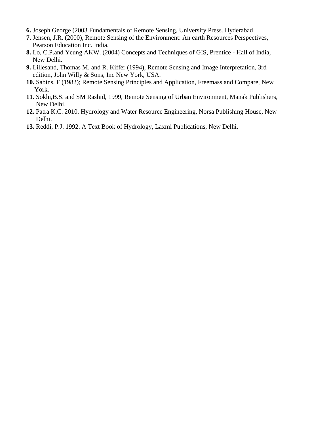- **6.** Joseph George (2003 Fundamentals of Remote Sensing, University Press. Hyderabad
- **7.** Jensen, J.R. (2000), Remote Sensing of the Environment: An earth Resources Perspectives, Pearson Education Inc. India.
- **8.** Lo, C.P.and Yeung AKW. (2004) Concepts and Techniques of GIS, Prentice Hall of India, New Delhi.
- **9.** Lillesand, Thomas M. and R. Kiffer (1994), Remote Sensing and Image Interpretation, 3rd edition, John Willy & Sons, Inc New York, USA.
- **10.** Sabins, F (1982); Remote Sensing Principles and Application, Freemass and Compare, New York.
- **11.** Sokhi,B.S. and SM Rashid, 1999, Remote Sensing of Urban Environment, Manak Publishers, New Delhi.
- **12.** Patra K.C. 2010. Hydrology and Water Resource Engineering, Norsa Publishing House, New Delhi.
- **13.** Reddi, P.J. 1992. A Text Book of Hydrology, Laxmi Publications, New Delhi.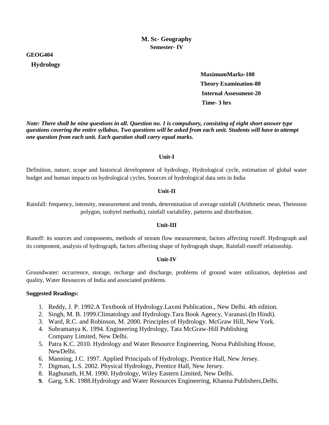#### **GEOG404**

#### **Hydrology**

 **MaximumMarks-100 Theory Examination-80 Internal Assessment-20 Time- 3 hrs**

*Note: There shall be nine questions in all. Question no. 1 is compulsory, consisting of eight short answer type questions covering the entire syllabus. Two questions will be asked from each unit. Students will have to attempt one question from each unit. Each question shall carry equal marks.*

#### **Unit-I**

Definition, nature, scope and historical development of hydrology, Hydrological cycle, estimation of global water budget and human impacts on hydrological cycles, Sources of hydrological data sets in India

#### **Unit-II**

Rainfall: frequency, intensity, measurement and trends, determination of average rainfall (Arithmetic mean, Theiesson polygon, isohytel methods), rainfall variability, patterns and distribution.

#### **Unit-III**

Runoff: its sources and components, methods of stream flow measurement, factors affecting runoff. Hydrograph and its component, analysis of hydrograph, factors affecting shape of hydrograph shape, Rainfall-runoff relationship.

#### **Unit-IV**

Groundwater: occurrence, storage, recharge and discharge, problems of ground water utilization, depletion and quality, Water Resources of India and associated problems.

- 1. Reddy, J. P. 1992.A Textbook of Hydrology.Laxmi Publication., New Delhi. 4th edition.
- 2. Singh, M. B. 1999.Climatology and Hydrology.Tara Book Agency, Varanasi.(In Hindi).
- 3. Ward, R.C. and Robinson, M. 2000. Principles of Hydrology. McGraw Hill, New York.
- 4. Subramanya K. 1994. Engineering Hydrology, Tata McGraw-Hill Publishing Company Limited, New Delhi.
- 5. Patra K.C. 2010. Hydrology and Water Resource Engineering, Norsa Publishing House, NewDelhi.
- 6. Manning, J.C. 1997. Applied Principals of Hydrology, Prentice Hall, New Jersey.
- 7. Digman, L.S. 2002. Physical Hydrology, Prentice Hall, New Jersey.
- 8. Raghunath, H.M. 1990. Hydrology, Wiley Eastern Limited, New Delhi.
- **9.** Garg, S.K. 1988.Hydrology and Water Resources Engineering, Khanna Publishers,Delhi.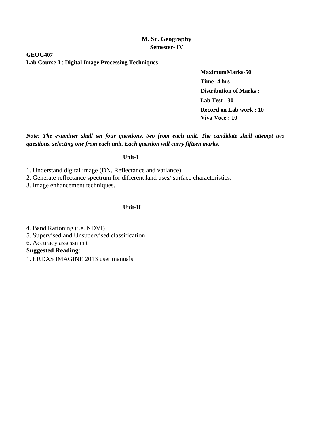**GEOG407 Lab Course-I** : **Digital Image Processing Techniques**

> **MaximumMarks-50 Time- 4 hrs Distribution of Marks : Lab Test : 30 Record on Lab work : 10 Viva Voce : 10**

*Note: The examiner shall set four questions, two from each unit. The candidate shall attempt two questions, selecting one from each unit. Each question will carry fifteen marks.*

**Unit-I**

1. Understand digital image (DN, Reflectance and variance).

2. Generate reflectance spectrum for different land uses/ surface characteristics.

3. Image enhancement techniques.

**Unit-II**

4. Band Rationing (i.e. NDVI)

5. Supervised and Unsupervised classification

6. Accuracy assessment

**Suggested Reading**:

1. ERDAS IMAGINE 2013 user manuals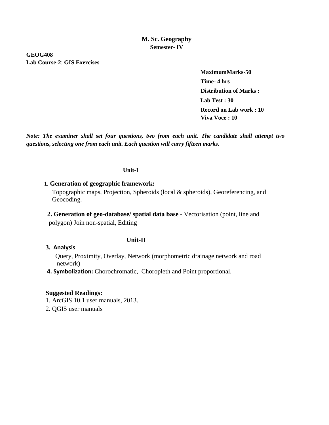**GEOG408 Lab Course-2**: **GIS Exercises**

> **MaximumMarks-50 Time- 4 hrs Distribution of Marks : Lab Test : 30 Record on Lab work : 10 Viva Voce : 10**

*Note: The examiner shall set four questions, two from each unit. The candidate shall attempt two questions, selecting one from each unit. Each question will carry fifteen marks.*

#### **Unit-I**

#### **1. Generation of geographic framework:**

 Topographic maps, Projection, Spheroids (local & spheroids), Georeferencing, and Geocoding.

 **2. Generation of geo-database/ spatial data base** - Vectorisation (point, line and polygon) Join non-spatial, Editing

#### **3. Analysis**

 Query, Proximity, Overlay, Network (morphometric drainage network and road network)

 **4. Symbolization:** Chorochromatic, Choropleth and Point proportional.

**Unit-II**

#### **Suggested Readings:**

1. ArcGIS 10.1 user manuals, 2013.

2. QGIS user manuals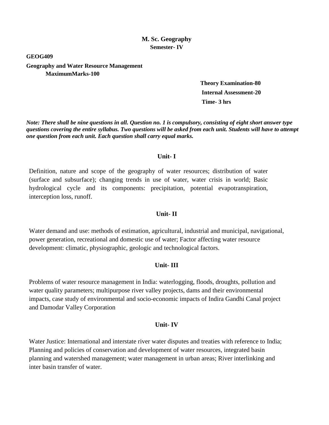**GEOG409**

**Geography and Water Resource Management MaximumMarks-100** 

> **Theory Examination-80 Internal Assessment-20 Time- 3 hrs**

*Note: There shall be nine questions in all. Question no. 1 is compulsory, consisting of eight short answer type questions covering the entire syllabus. Two questions will be asked from each unit. Students will have to attempt one question from each unit. Each question shall carry equal marks.*

#### **Unit- I**

Definition, nature and scope of the geography of water resources; distribution of water (surface and subsurface); changing trends in use of water, water crisis in world; Basic hydrological cycle and its components: precipitation, potential evapotranspiration, interception loss, runoff.

#### **Unit- II**

Water demand and use: methods of estimation, agricultural, industrial and municipal, navigational, power generation, recreational and domestic use of water; Factor affecting water resource development: climatic, physiographic, geologic and technological factors.

#### **Unit- III**

Problems of water resource management in India: waterlogging, floods, droughts, pollution and water quality parameters; multipurpose river valley projects, dams and their environmental impacts, case study of environmental and socio-economic impacts of Indira Gandhi Canal project and Damodar Valley Corporation

#### **Unit- IV**

Water Justice: International and interstate river water disputes and treaties with reference to India; Planning and policies of conservation and development of water resources, integrated basin planning and watershed management; water management in urban areas; River interlinking and inter basin transfer of water.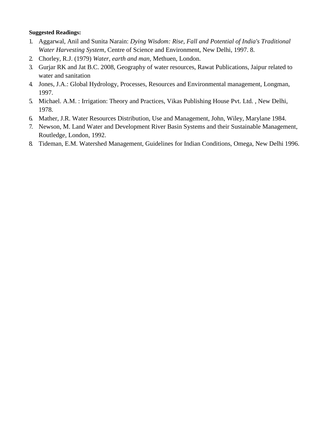- 1. Aggarwal, Anil and Sunita Narain: *Dying Wisdom: Rise, Fall and Potential of India's Traditional Water Harvesting System*, Centre of Science and Environment, New Delhi, 1997. 8.
- 2. Chorley, R.J. (1979) *Water, earth and man*, Methuen, London.
- 3. Gurjar RK and Jat B.C. 2008, Geography of water resources, Rawat Publications, Jaipur related to water and sanitation
- 4. Jones, J.A.: Global Hydrology, Processes, Resources and Environmental management, Longman, 1997.
- 5. Michael. A.M. : Irrigation: Theory and Practices, Vikas Publishing House Pvt. Ltd. , New Delhi, 1978.
- 6. Mather, J.R. Water Resources Distribution, Use and Management, John, Wiley, Marylane 1984.
- 7. Newson, M. Land Water and Development River Basin Systems and their Sustainable Management, Routledge, London, 1992.
- 8. Tideman, E.M. Watershed Management, Guidelines for Indian Conditions, Omega, New Delhi 1996.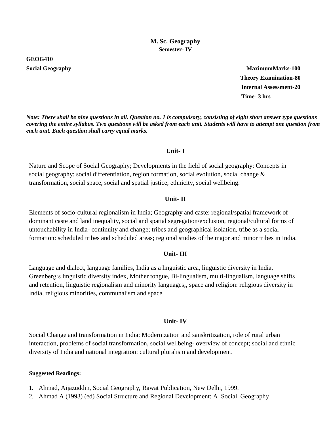**GEOG410**

**Social Geography MaximumMarks-100 Theory Examination-80 Internal Assessment-20 Time- 3 hrs**

*Note: There shall be nine questions in all. Question no. 1 is compulsory, consisting of eight short answer type questions covering the entire syllabus. Two questions will be asked from each unit. Students will have to attempt one question from each unit. Each question shall carry equal marks.*

# **Unit- I**

Nature and Scope of Social Geography; Developments in the field of social geography; Concepts in social geography: social differentiation, region formation, social evolution, social change & transformation, social space, social and spatial justice, ethnicity, social wellbeing.

## **Unit- II**

Elements of socio-cultural regionalism in India; Geography and caste: regional/spatial framework of dominant caste and land inequality, social and spatial segregation/exclusion, regional/cultural forms of untouchability in India- continuity and change; tribes and geographical isolation, tribe as a social formation: scheduled tribes and scheduled areas; regional studies of the major and minor tribes in India.

#### **Unit- III**

Language and dialect, language families, India as a linguistic area, linguistic diversity in India, Greenberg's linguistic diversity index, Mother tongue, Bi-lingualism, multi-lingualism, language shifts and retention, linguistic regionalism and minority languages;, space and religion: religious diversity in India, religious minorities, communalism and space

#### **Unit- IV**

Social Change and transformation in India: Modernization and sanskritization, role of rural urban interaction, problems of social transformation, social wellbeing- overview of concept; social and ethnic diversity of India and national integration: cultural pluralism and development.

- 1. Ahmad, Aijazuddin, Social Geography, Rawat Publication, New Delhi, 1999.
- 2. Ahmad A (1993) (ed) Social Structure and Regional Development: A Social Geography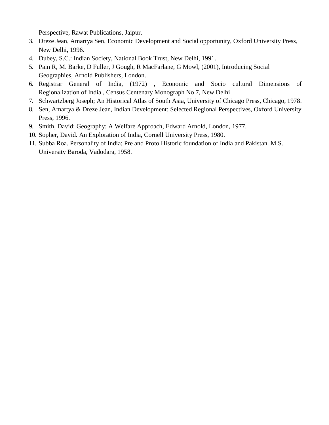Perspective, Rawat Publications, Jaipur.

- 3. Dreze Jean, Amartya Sen, Economic Development and Social opportunity, Oxford University Press, New Delhi, 1996.
- 4. Dubey, S.C.: Indian Society, National Book Trust, New Delhi, 1991.
- 5. Pain R, M. Barke, D Fuller, J Gough, R MacFarlane, G Mowl, (2001), Introducing Social Geographies, Arnold Publishers, London.
- 6. Registrar General of India, (1972) , Economic and Socio cultural Dimensions of Regionalization of India , Census Centenary Monograph No 7, New Delhi
- 7. Schwartzberg Joseph; An Historical Atlas of South Asia, University of Chicago Press, Chicago, 1978.
- 8. Sen, Amartya & Dreze Jean, Indian Development: Selected Regional Perspectives, Oxford University Press, 1996.
- 9. Smith, David: Geography: A Welfare Approach, Edward Arnold, London, 1977.
- 10. Sopher, David. An Exploration of India, Cornell University Press, 1980.
- 11. Subba Roa. Personality of India; Pre and Proto Historic foundation of India and Pakistan. M.S. University Baroda, Vadodara, 1958.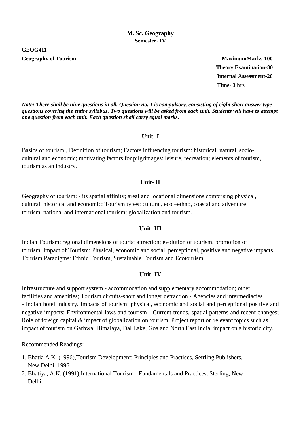**GEOG411**

**Geography of Tourism MaximumMarks-100 Theory Examination-80 Internal Assessment-20 Time- 3 hrs**

*Note: There shall be nine questions in all. Question no. 1 is compulsory, consisting of eight short answer type questions covering the entire syllabus. Two questions will be asked from each unit. Students will have to attempt one question from each unit. Each question shall carry equal marks.*

#### **Unit- I**

Basics of tourism:, Definition of tourism; Factors influencing tourism: historical, natural, sociocultural and economic; motivating factors for pilgrimages: leisure, recreation; elements of tourism, tourism as an industry.

## **Unit- II**

Geography of tourism: - its spatial affinity; areal and locational dimensions comprising physical, cultural, historical and economic; Tourism types: cultural, eco –ethno, coastal and adventure tourism, national and international tourism; globalization and tourism.

#### **Unit- III**

Indian Tourism: regional dimensions of tourist attraction; evolution of tourism, promotion of tourism. Impact of Tourism: Physical, economic and social, perceptional, positive and negative impacts. Tourism Paradigms: Ethnic Tourism, Sustainable Tourism and Ecotourism.

#### **Unit- IV**

Infrastructure and support system - accommodation and supplementary accommodation; other facilities and amenities; Tourism circuits-short and longer detraction - Agencies and intermediacies - Indian hotel industry. Impacts of tourism: physical, economic and social and perceptional positive and negative impacts; Environmental laws and tourism - Current trends, spatial patterns and recent changes; Role of foreign capital  $\&$  impact of globalization on tourism. Project report on relevant topics such as impact of tourism on Garhwal Himalaya, Dal Lake, Goa and North East India, impact on a historic city.

- 1. Bhatia A.K. (1996),Tourism Development: Principles and Practices, Setrling Publishers, New Delhi, 1996.
- 2. Bhatiya, A.K. (1991),International Tourism Fundamentals and Practices, Sterling, New Delhi.